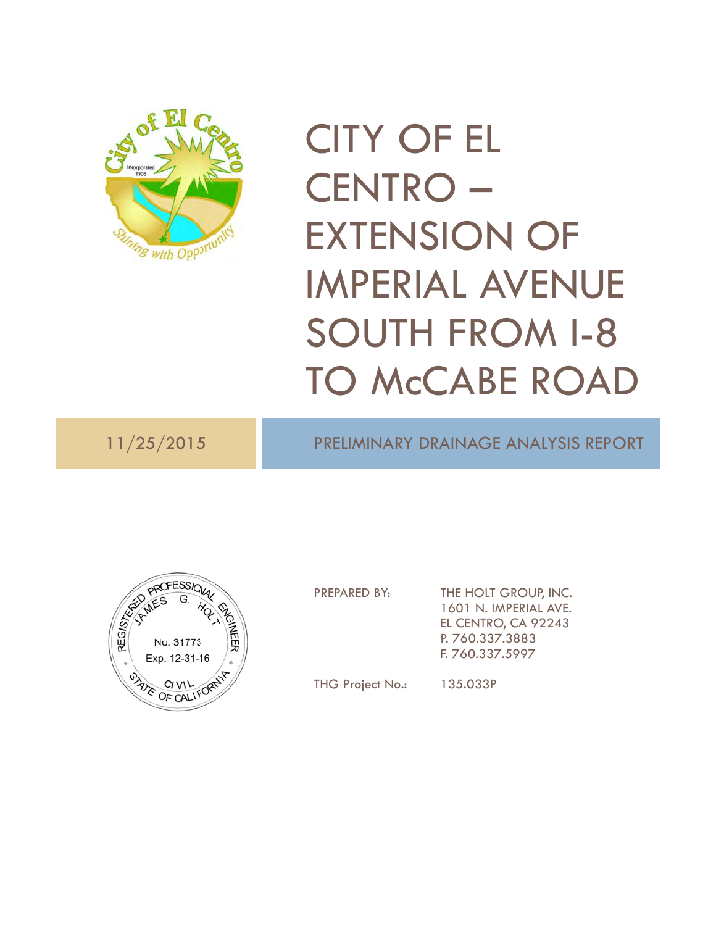

# C ITY O OF E EL C ENT RO – EXTENSION OF IMPERIAL AVENU SOUTH FROM I-8 SOUTH FROM 1-8<br>TO McCABE ROAD ENUE<br>
M I-8<br>
ROAD<br>
MALYSIS REPOR<br>
MALYSIS REPOR<br>
UP, INC.<br>
92243<br>
3<br>
7

11/25/2015

PRELIMINARY DRAINAGE ANALYSIS REPORT



PRE PARED BY:

THE HOLT GROUP, INC. 1601 N. IMPERIAL AVE. EL CE ENTRO, CA 9 92243 P. 76 0.337.3883 F. 76 0.337.5997

THG G Project No

.: 135.0 033P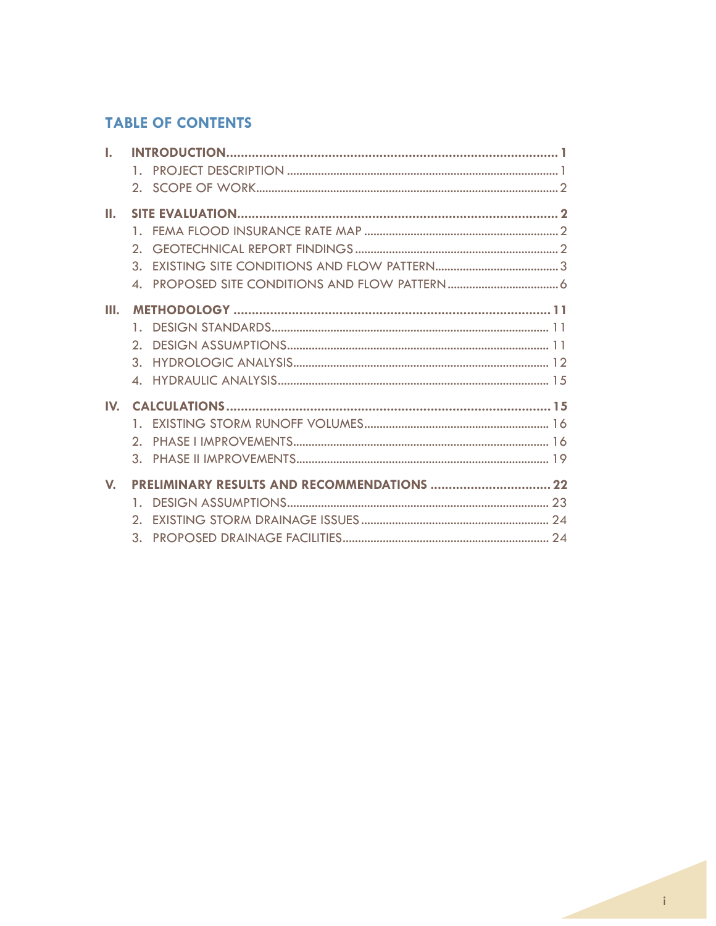# **TABLE OF CONTENTS**

| L.           |                                             |  |
|--------------|---------------------------------------------|--|
|              | 1.                                          |  |
|              |                                             |  |
| Ш.           |                                             |  |
|              | 1.                                          |  |
|              | 2.                                          |  |
|              | 3.                                          |  |
|              | $\blacktriangle$ .                          |  |
| Ш.           |                                             |  |
|              | 1.                                          |  |
|              | $\mathcal{D}_{\cdot}$                       |  |
|              | $\mathcal{R}$ .                             |  |
|              | $\blacktriangle$ .                          |  |
| $\mathbf{N}$ |                                             |  |
|              | 1.                                          |  |
|              | 2 <sup>1</sup>                              |  |
|              |                                             |  |
| $\mathbf{V}$ | PRELIMINARY RESULTS AND RECOMMENDATIONS  22 |  |
|              | $\mathbf{1}$ .                              |  |
|              | $\mathcal{D}_{\cdot}$                       |  |
|              | 3.                                          |  |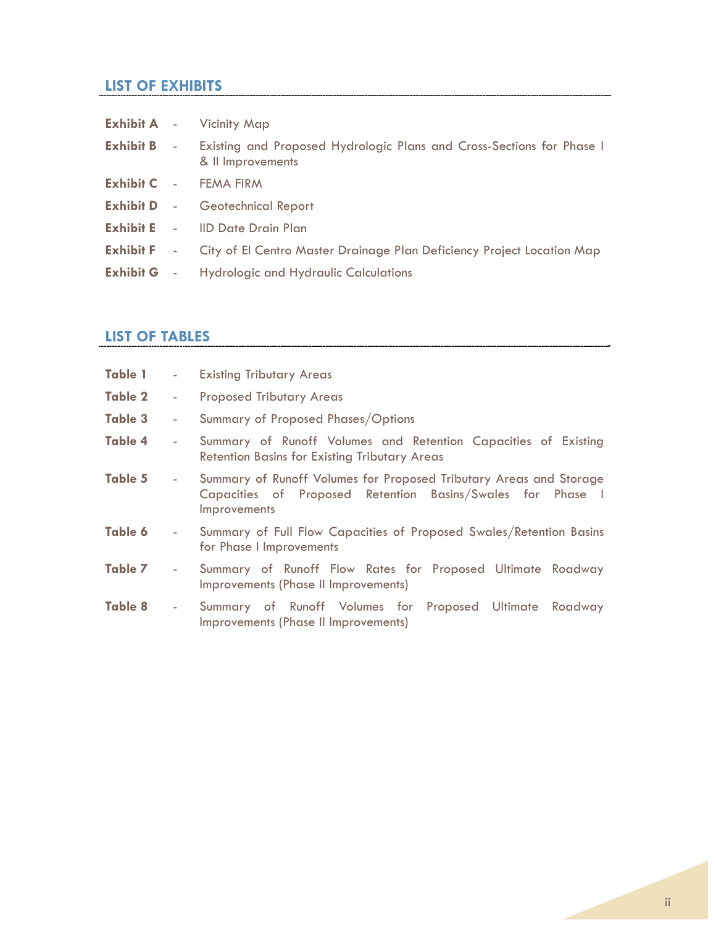# **LIST OF EXHIBITS**

|                    | <b>Exhibit A - Vicinity Map</b>                                                            |  |
|--------------------|--------------------------------------------------------------------------------------------|--|
| <b>Exhibit B</b> - | Existing and Proposed Hydrologic Plans and Cross-Sections for Phase I<br>& Il Improvements |  |
|                    | <b>Exhibit C</b> - FEMA FIRM                                                               |  |
|                    | <b>Exhibit D</b> - Geotechnical Report                                                     |  |
|                    | <b>Exhibit E</b> - IID Date Drain Plan                                                     |  |
|                    | <b>Exhibit F</b> - City of El Centro Master Drainage Plan Deficiency Project Location Map  |  |
|                    | <b>Exhibit G</b> - Hydrologic and Hydraulic Calculations                                   |  |

# **LIST OF TABLES**

| <b>Table 1</b> |                          | - Existing Tributary Areas                                                                                                                       |  |  |  |  |  |
|----------------|--------------------------|--------------------------------------------------------------------------------------------------------------------------------------------------|--|--|--|--|--|
| <b>Table 2</b> | $\sim 100$               | <b>Proposed Tributary Areas</b>                                                                                                                  |  |  |  |  |  |
| Table 3        | $\overline{\phantom{a}}$ | Summary of Proposed Phases/Options                                                                                                               |  |  |  |  |  |
| Table 4        | $\overline{\phantom{a}}$ | Summary of Runoff Volumes and Retention Capacities of Existing<br><b>Retention Basins for Existing Tributary Areas</b>                           |  |  |  |  |  |
| Table 5        | $\sim 100$               | Summary of Runoff Volumes for Proposed Tributary Areas and Storage<br>Capacities of Proposed Retention Basins/Swales for Phase I<br>Improvements |  |  |  |  |  |
| Table 6        | ٠                        | Summary of Full Flow Capacities of Proposed Swales/Retention Basins<br>for Phase I Improvements                                                  |  |  |  |  |  |
| Table 7        | $\overline{\phantom{a}}$ | Summary of Runoff Flow Rates for Proposed Ultimate Roadway<br>Improvements (Phase II Improvements)                                               |  |  |  |  |  |
| <b>Table 8</b> | $\sim 100$               | Summary of Runoff Volumes for Proposed Ultimate Roadway<br>Improvements (Phase II Improvements)                                                  |  |  |  |  |  |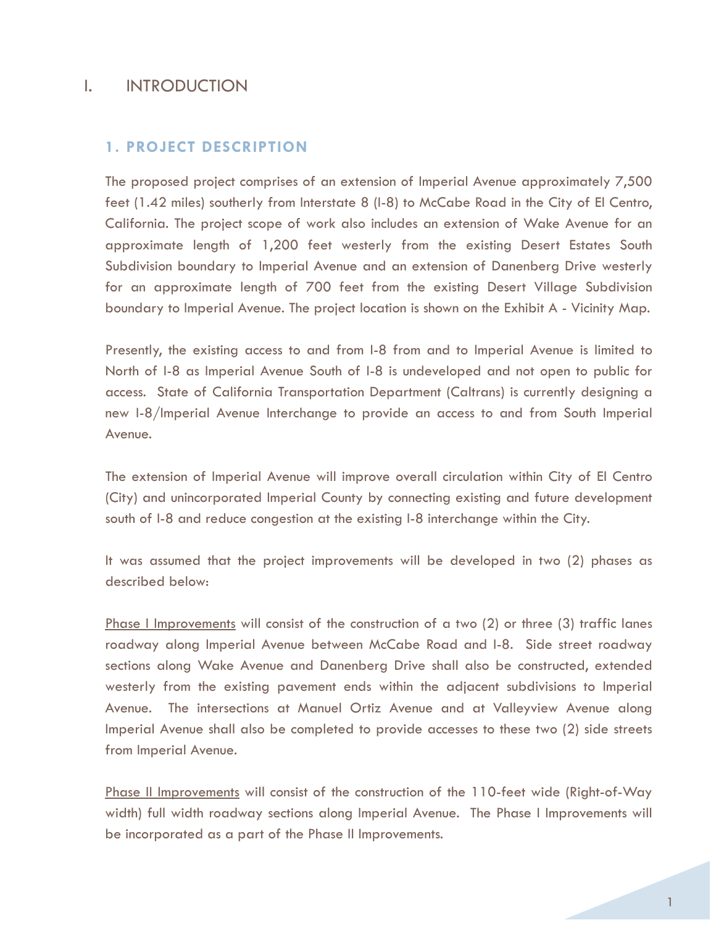# I. INTRODUCTION

# **1. PROJECT DESCRIPTION**

The proposed project comprises of an extension of Imperial Avenue approximately 7,500 feet (1.42 miles) southerly from Interstate 8 (I-8) to McCabe Road in the City of El Centro, California. The project scope of work also includes an extension of Wake Avenue for an approximate length of 1,200 feet westerly from the existing Desert Estates South Subdivision boundary to Imperial Avenue and an extension of Danenberg Drive westerly for an approximate length of 700 feet from the existing Desert Village Subdivision boundary to Imperial Avenue. The project location is shown on the Exhibit A - Vicinity Map.

Presently, the existing access to and from I-8 from and to Imperial Avenue is limited to North of I-8 as Imperial Avenue South of I-8 is undeveloped and not open to public for access. State of California Transportation Department (Caltrans) is currently designing a new I-8/Imperial Avenue Interchange to provide an access to and from South Imperial Avenue.

The extension of Imperial Avenue will improve overall circulation within City of El Centro (City) and unincorporated Imperial County by connecting existing and future development south of I-8 and reduce congestion at the existing I-8 interchange within the City.

It was assumed that the project improvements will be developed in two (2) phases as described below:

Phase I Improvements will consist of the construction of a two (2) or three (3) traffic lanes roadway along Imperial Avenue between McCabe Road and I-8. Side street roadway sections along Wake Avenue and Danenberg Drive shall also be constructed, extended westerly from the existing pavement ends within the adjacent subdivisions to Imperial Avenue. The intersections at Manuel Ortiz Avenue and at Valleyview Avenue along Imperial Avenue shall also be completed to provide accesses to these two (2) side streets from Imperial Avenue.

Phase II Improvements will consist of the construction of the 110-feet wide (Right-of-Way width) full width roadway sections along Imperial Avenue. The Phase I Improvements will be incorporated as a part of the Phase II Improvements.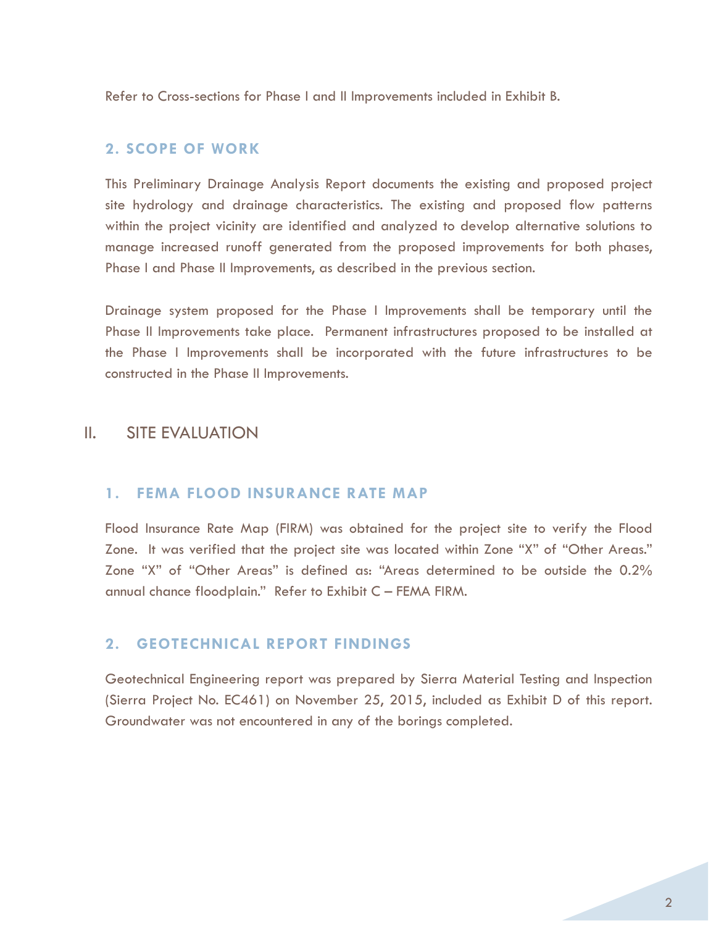Refer to Cross-sections for Phase I and II Improvements included in Exhibit B.

# **2. SCOPE OF WORK**

This Preliminary Drainage Analysis Report documents the existing and proposed project site hydrology and drainage characteristics. The existing and proposed flow patterns within the project vicinity are identified and analyzed to develop alternative solutions to manage increased runoff generated from the proposed improvements for both phases, Phase I and Phase II Improvements, as described in the previous section.

Drainage system proposed for the Phase I Improvements shall be temporary until the Phase II Improvements take place. Permanent infrastructures proposed to be installed at the Phase I Improvements shall be incorporated with the future infrastructures to be constructed in the Phase II Improvements.

# II. SITE EVALUATION

## **1. FEMA FLOOD INSURANCE RATE MAP**

Flood Insurance Rate Map (FIRM) was obtained for the project site to verify the Flood Zone. It was verified that the project site was located within Zone "X" of "Other Areas." Zone "X" of "Other Areas" is defined as: "Areas determined to be outside the 0.2% annual chance floodplain." Refer to Exhibit C – FEMA FIRM.

# **2. GEOTECHNICAL REPORT FINDINGS**

Geotechnical Engineering report was prepared by Sierra Material Testing and Inspection (Sierra Project No. EC461) on November 25, 2015, included as Exhibit D of this report. Groundwater was not encountered in any of the borings completed.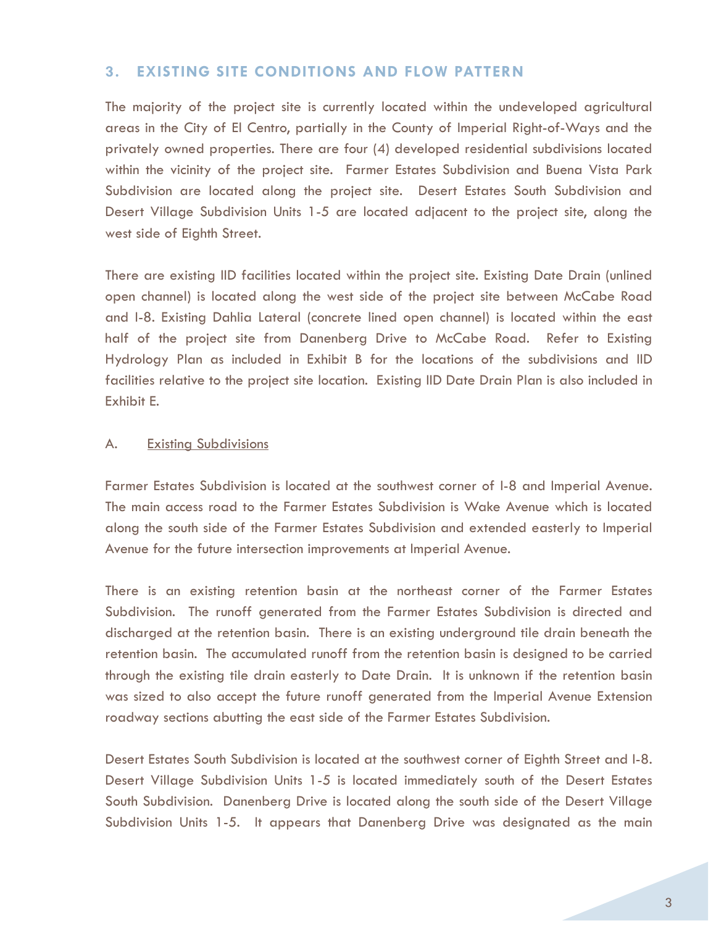# **3. EXISTING SITE CONDITIONS AND FLOW PATTERN**

The majority of the project site is currently located within the undeveloped agricultural areas in the City of El Centro, partially in the County of Imperial Right-of-Ways and the privately owned properties. There are four (4) developed residential subdivisions located within the vicinity of the project site. Farmer Estates Subdivision and Buena Vista Park Subdivision are located along the project site. Desert Estates South Subdivision and Desert Village Subdivision Units 1-5 are located adjacent to the project site, along the west side of Eighth Street.

There are existing IID facilities located within the project site. Existing Date Drain (unlined open channel) is located along the west side of the project site between McCabe Road and I-8. Existing Dahlia Lateral (concrete lined open channel) is located within the east half of the project site from Danenberg Drive to McCabe Road. Refer to Existing Hydrology Plan as included in Exhibit B for the locations of the subdivisions and IID facilities relative to the project site location. Existing IID Date Drain Plan is also included in Exhibit E.

## A. **Existing Subdivisions**

Farmer Estates Subdivision is located at the southwest corner of I-8 and Imperial Avenue. The main access road to the Farmer Estates Subdivision is Wake Avenue which is located along the south side of the Farmer Estates Subdivision and extended easterly to Imperial Avenue for the future intersection improvements at Imperial Avenue.

There is an existing retention basin at the northeast corner of the Farmer Estates Subdivision. The runoff generated from the Farmer Estates Subdivision is directed and discharged at the retention basin. There is an existing underground tile drain beneath the retention basin. The accumulated runoff from the retention basin is designed to be carried through the existing tile drain easterly to Date Drain. It is unknown if the retention basin was sized to also accept the future runoff generated from the Imperial Avenue Extension roadway sections abutting the east side of the Farmer Estates Subdivision.

Desert Estates South Subdivision is located at the southwest corner of Eighth Street and I-8. Desert Village Subdivision Units 1-5 is located immediately south of the Desert Estates South Subdivision. Danenberg Drive is located along the south side of the Desert Village Subdivision Units 1-5. It appears that Danenberg Drive was designated as the main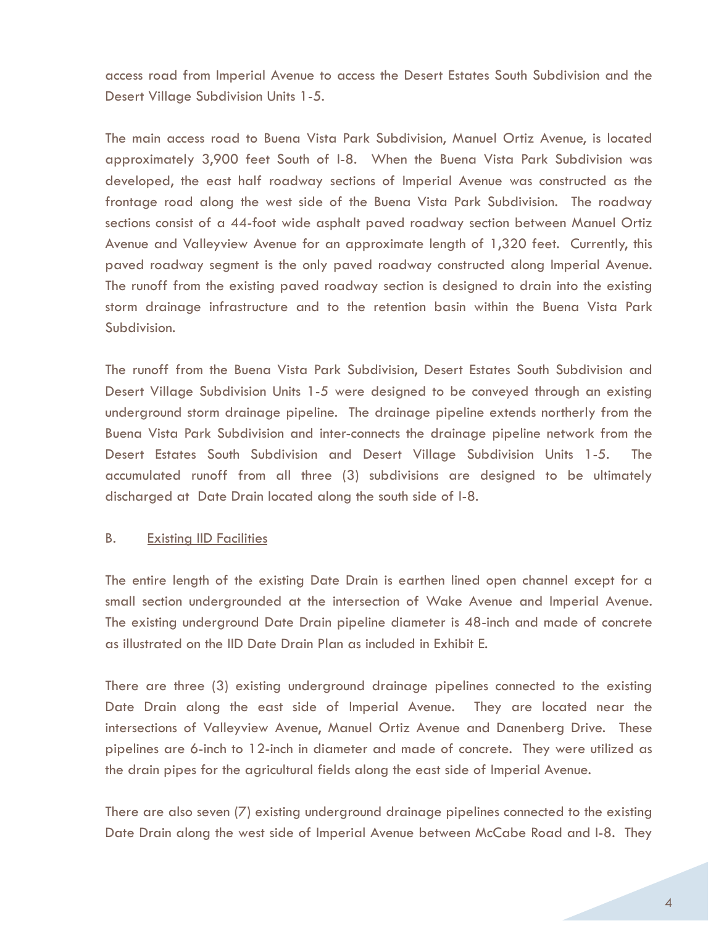access road from Imperial Avenue to access the Desert Estates South Subdivision and the Desert Village Subdivision Units 1-5.

The main access road to Buena Vista Park Subdivision, Manuel Ortiz Avenue, is located approximately 3,900 feet South of I-8. When the Buena Vista Park Subdivision was developed, the east half roadway sections of Imperial Avenue was constructed as the frontage road along the west side of the Buena Vista Park Subdivision. The roadway sections consist of a 44-foot wide asphalt paved roadway section between Manuel Ortiz Avenue and Valleyview Avenue for an approximate length of 1,320 feet. Currently, this paved roadway segment is the only paved roadway constructed along Imperial Avenue. The runoff from the existing paved roadway section is designed to drain into the existing storm drainage infrastructure and to the retention basin within the Buena Vista Park Subdivision.

The runoff from the Buena Vista Park Subdivision, Desert Estates South Subdivision and Desert Village Subdivision Units 1-5 were designed to be conveyed through an existing underground storm drainage pipeline. The drainage pipeline extends northerly from the Buena Vista Park Subdivision and inter-connects the drainage pipeline network from the Desert Estates South Subdivision and Desert Village Subdivision Units 1-5. The accumulated runoff from all three (3) subdivisions are designed to be ultimately discharged at Date Drain located along the south side of I-8.

## B. Existing IID Facilities

The entire length of the existing Date Drain is earthen lined open channel except for a small section undergrounded at the intersection of Wake Avenue and Imperial Avenue. The existing underground Date Drain pipeline diameter is 48-inch and made of concrete as illustrated on the IID Date Drain Plan as included in Exhibit E.

There are three (3) existing underground drainage pipelines connected to the existing Date Drain along the east side of Imperial Avenue. They are located near the intersections of Valleyview Avenue, Manuel Ortiz Avenue and Danenberg Drive. These pipelines are 6-inch to 12-inch in diameter and made of concrete. They were utilized as the drain pipes for the agricultural fields along the east side of Imperial Avenue.

There are also seven (7) existing underground drainage pipelines connected to the existing Date Drain along the west side of Imperial Avenue between McCabe Road and I-8. They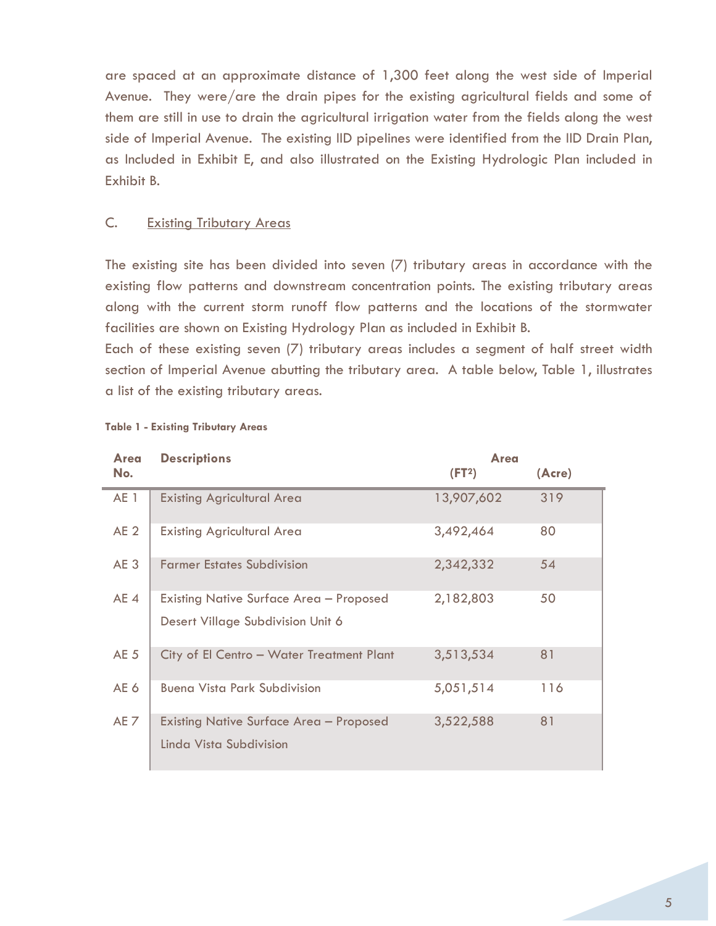are spaced at an approximate distance of 1,300 feet along the west side of Imperial Avenue. They were/are the drain pipes for the existing agricultural fields and some of them are still in use to drain the agricultural irrigation water from the fields along the west side of Imperial Avenue. The existing IID pipelines were identified from the IID Drain Plan, as Included in Exhibit E, and also illustrated on the Existing Hydrologic Plan included in Exhibit B.

#### C. Existing Tributary Areas

The existing site has been divided into seven (7) tributary areas in accordance with the existing flow patterns and downstream concentration points. The existing tributary areas along with the current storm runoff flow patterns and the locations of the stormwater facilities are shown on Existing Hydrology Plan as included in Exhibit B.

Each of these existing seven (7) tributary areas includes a segment of half street width section of Imperial Avenue abutting the tributary area. A table below, Table 1, illustrates a list of the existing tributary areas.

| Area            | <b>Descriptions</b>                                                                 | Area               |        |
|-----------------|-------------------------------------------------------------------------------------|--------------------|--------|
| No.             |                                                                                     | (FT <sup>2</sup> ) | (Acre) |
| AE 1            | <b>Existing Agricultural Area</b>                                                   | 13,907,602         | 319    |
| AE <sub>2</sub> | <b>Existing Agricultural Area</b>                                                   | 3,492,464          | 80     |
| AE <sub>3</sub> | <b>Farmer Estates Subdivision</b>                                                   | 2,342,332          | 54     |
| AE <sub>4</sub> | <b>Existing Native Surface Area - Proposed</b><br>Desert Village Subdivision Unit 6 | 2,182,803          | 50     |
| AE <sub>5</sub> | City of El Centro - Water Treatment Plant                                           | 3,513,534          | 81     |
| AE 6            | <b>Buena Vista Park Subdivision</b>                                                 | 5,051,514          | 116    |
| AE 7            | <b>Existing Native Surface Area - Proposed</b><br>Linda Vista Subdivision           | 3,522,588          | 81     |

#### **Table 1 - Existing Tributary Areas**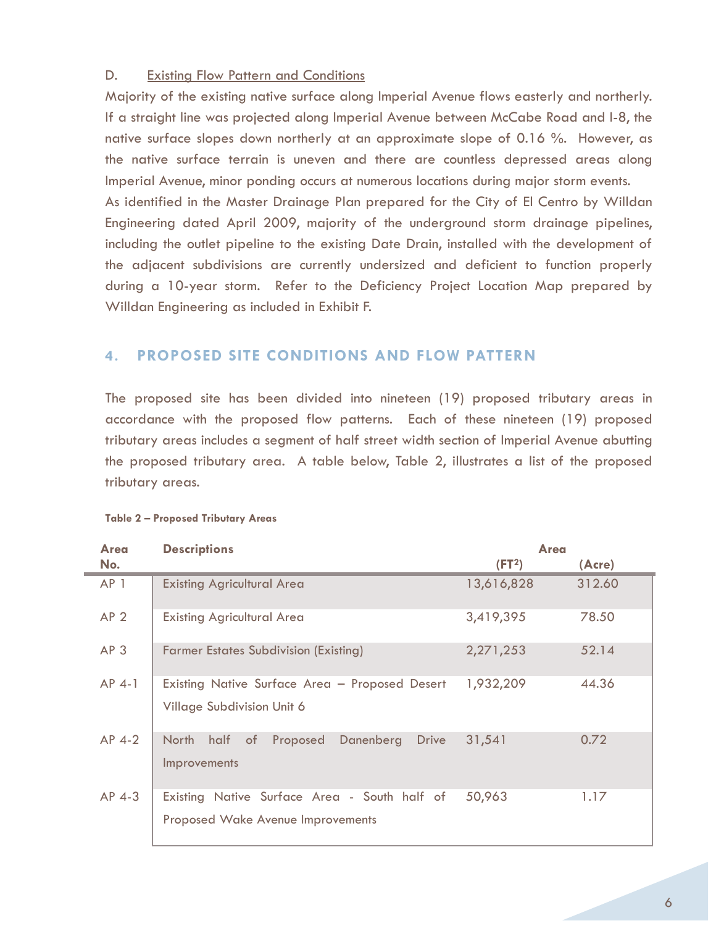#### D. Existing Flow Pattern and Conditions

Majority of the existing native surface along Imperial Avenue flows easterly and northerly. If a straight line was projected along Imperial Avenue between McCabe Road and I-8, the native surface slopes down northerly at an approximate slope of 0.16 %. However, as the native surface terrain is uneven and there are countless depressed areas along Imperial Avenue, minor ponding occurs at numerous locations during major storm events. As identified in the Master Drainage Plan prepared for the City of El Centro by Willdan Engineering dated April 2009, majority of the underground storm drainage pipelines, including the outlet pipeline to the existing Date Drain, installed with the development of the adjacent subdivisions are currently undersized and deficient to function properly during a 10-year storm. Refer to the Deficiency Project Location Map prepared by Willdan Engineering as included in Exhibit F.

# **4. PROPOSED SITE CONDITIONS AND FLOW PATTERN**

The proposed site has been divided into nineteen (19) proposed tributary areas in accordance with the proposed flow patterns. Each of these nineteen (19) proposed tributary areas includes a segment of half street width section of Imperial Avenue abutting the proposed tributary area. A table below, Table 2, illustrates a list of the proposed tributary areas.

| Area            | <b>Descriptions</b>                                                                      | Area               |        |  |
|-----------------|------------------------------------------------------------------------------------------|--------------------|--------|--|
| No.             |                                                                                          | (FT <sup>2</sup> ) | (Acre) |  |
| AP 1            | <b>Existing Agricultural Area</b>                                                        | 13,616,828         | 312.60 |  |
| AP <sub>2</sub> | <b>Existing Agricultural Area</b>                                                        | 3,419,395          | 78.50  |  |
| AP <sub>3</sub> | <b>Farmer Estates Subdivision (Existing)</b>                                             | 2,271,253          | 52.14  |  |
| $AP$ 4-1        | Existing Native Surface Area - Proposed Desert<br>Village Subdivision Unit 6             | 1,932,209          | 44.36  |  |
| $AP$ 4-2        | North half of<br>Danenberg<br>Proposed<br>Drive<br><b>Improvements</b>                   | 31,541             | 0.72   |  |
| $AP$ 4-3        | Existing Native Surface Area - South half of<br><b>Proposed Wake Avenue Improvements</b> | 50,963             | 1.17   |  |

| Table 2 - Proposed Tributary Areas |
|------------------------------------|
|------------------------------------|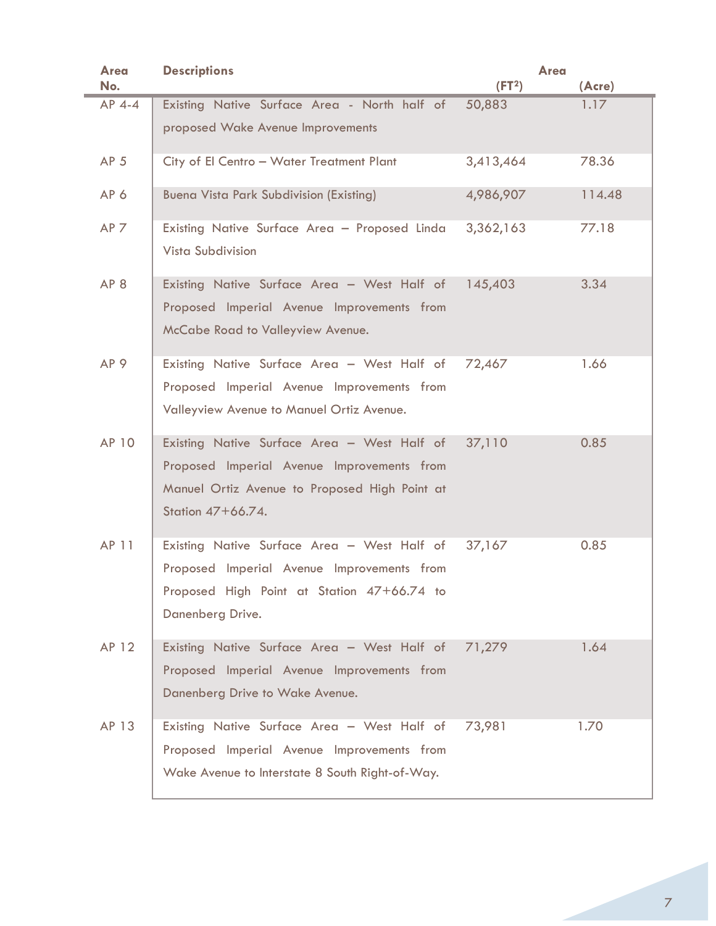| <b>Area</b>     | <b>Descriptions</b>                                                                                                                                             | <b>Area</b>        |        |
|-----------------|-----------------------------------------------------------------------------------------------------------------------------------------------------------------|--------------------|--------|
| No.             |                                                                                                                                                                 | (FT <sup>2</sup> ) | (Acre) |
| AP 4-4          | Existing Native Surface Area - North half of                                                                                                                    | 50,883             | 1.17   |
|                 | proposed Wake Avenue Improvements                                                                                                                               |                    |        |
| AP <sub>5</sub> | City of El Centro - Water Treatment Plant                                                                                                                       | 3,413,464          | 78.36  |
| AP6             | <b>Buena Vista Park Subdivision (Existing)</b>                                                                                                                  | 4,986,907          | 114.48 |
| AP <sub>7</sub> | Existing Native Surface Area - Proposed Linda<br>Vista Subdivision                                                                                              | 3,362,163          | 77.18  |
| AP <sub>8</sub> | Existing Native Surface Area - West Half of 145,403<br>Proposed Imperial Avenue Improvements from<br>McCabe Road to Valleyview Avenue.                          |                    | 3.34   |
| AP <sub>9</sub> | Existing Native Surface Area - West Half of<br>Proposed Imperial Avenue Improvements from<br>Valleyview Avenue to Manuel Ortiz Avenue.                          | 72,467             | 1.66   |
| AP 10           | Existing Native Surface Area - West Half of<br>Proposed Imperial Avenue Improvements from<br>Manuel Ortiz Avenue to Proposed High Point at<br>Station 47+66.74. | 37,110             | 0.85   |
| AP 11           | Existing Native Surface Area - West Half of<br>Proposed Imperial Avenue Improvements from<br>Proposed High Point at Station 47+66.74 to<br>Danenberg Drive.     | 37,167             | 0.85   |
| AP 12           | Existing Native Surface Area - West Half of<br>Proposed Imperial Avenue Improvements from<br>Danenberg Drive to Wake Avenue.                                    | 71,279             | 1.64   |
| AP 13           | Existing Native Surface Area - West Half of<br>Proposed Imperial Avenue Improvements from<br>Wake Avenue to Interstate 8 South Right-of-Way.                    | 73,981             | 1.70   |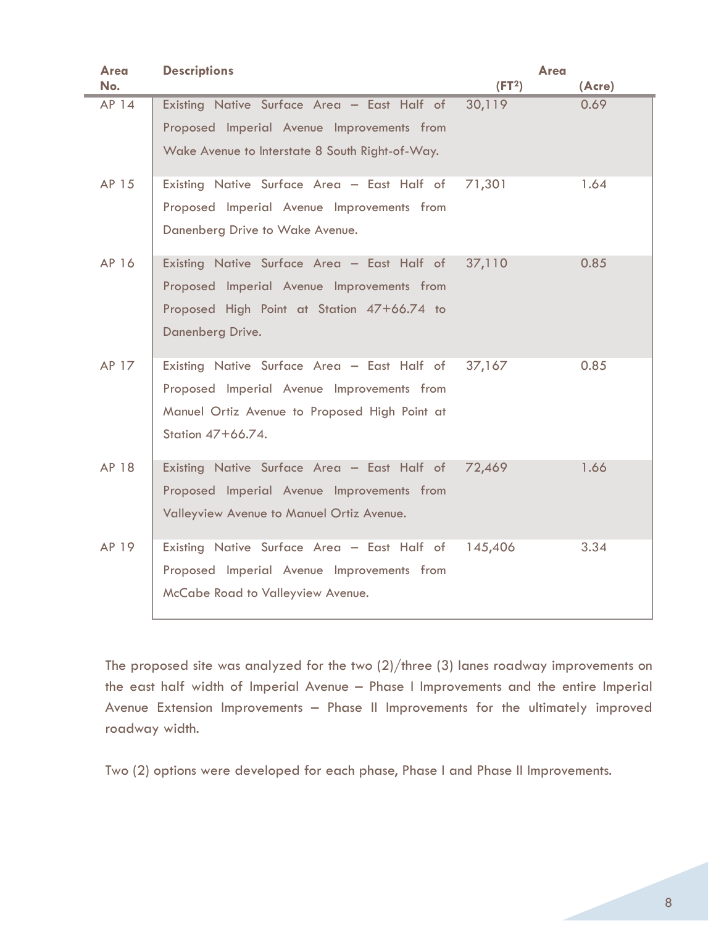| Area<br>No. | <b>Descriptions</b>                                                                                                                                             | <b>Area</b><br>(FT <sup>2</sup> ) | (Acre) |
|-------------|-----------------------------------------------------------------------------------------------------------------------------------------------------------------|-----------------------------------|--------|
| AP 14       | Existing Native Surface Area - East Half of<br>Proposed Imperial Avenue Improvements from<br>Wake Avenue to Interstate 8 South Right-of-Way.                    | 30,119                            | 0.69   |
| AP 15       | Existing Native Surface Area - East Half of<br>Proposed Imperial Avenue Improvements from<br>Danenberg Drive to Wake Avenue.                                    | 71,301                            | 1.64   |
| AP 16       | Existing Native Surface Area - East Half of<br>Proposed Imperial Avenue Improvements from<br>Proposed High Point at Station 47+66.74 to<br>Danenberg Drive.     | 37,110                            | 0.85   |
| AP 17       | Existing Native Surface Area - East Half of<br>Proposed Imperial Avenue Improvements from<br>Manuel Ortiz Avenue to Proposed High Point at<br>Station 47+66.74. | 37,167                            | 0.85   |
| AP 18       | Existing Native Surface Area - East Half of<br>Proposed Imperial Avenue Improvements from<br>Valleyview Avenue to Manuel Ortiz Avenue.                          | 72,469                            | 1.66   |
| AP 19       | Existing Native Surface Area - East Half of<br>Proposed Imperial Avenue Improvements from<br>McCabe Road to Valleyview Avenue.                                  | 145,406                           | 3.34   |

The proposed site was analyzed for the two (2)/three (3) lanes roadway improvements on the east half width of Imperial Avenue – Phase I Improvements and the entire Imperial Avenue Extension Improvements – Phase II Improvements for the ultimately improved roadway width.

Two (2) options were developed for each phase, Phase I and Phase II Improvements.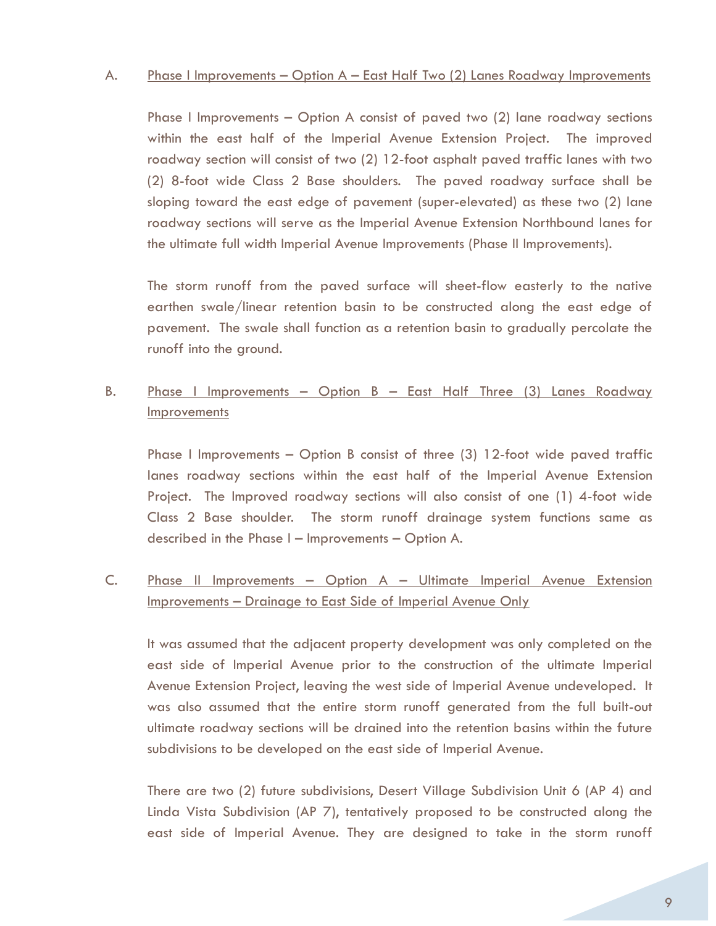#### A. Phase I Improvements – Option A – East Half Two (2) Lanes Roadway Improvements

Phase I Improvements – Option A consist of paved two (2) lane roadway sections within the east half of the Imperial Avenue Extension Project. The improved roadway section will consist of two (2) 12-foot asphalt paved traffic lanes with two (2) 8-foot wide Class 2 Base shoulders. The paved roadway surface shall be sloping toward the east edge of pavement (super-elevated) as these two (2) lane roadway sections will serve as the Imperial Avenue Extension Northbound lanes for the ultimate full width Imperial Avenue Improvements (Phase II Improvements).

The storm runoff from the paved surface will sheet-flow easterly to the native earthen swale/linear retention basin to be constructed along the east edge of pavement. The swale shall function as a retention basin to gradually percolate the runoff into the ground.

# B. Phase I Improvements – Option B – East Half Three (3) Lanes Roadway **Improvements**

Phase I Improvements – Option B consist of three (3) 12-foot wide paved traffic lanes roadway sections within the east half of the Imperial Avenue Extension Project. The Improved roadway sections will also consist of one (1) 4-foot wide Class 2 Base shoulder. The storm runoff drainage system functions same as described in the Phase I – Improvements – Option A.

# C. Phase II Improvements – Option A – Ultimate Imperial Avenue Extension Improvements – Drainage to East Side of Imperial Avenue Only

It was assumed that the adjacent property development was only completed on the east side of Imperial Avenue prior to the construction of the ultimate Imperial Avenue Extension Project, leaving the west side of Imperial Avenue undeveloped. It was also assumed that the entire storm runoff generated from the full built-out ultimate roadway sections will be drained into the retention basins within the future subdivisions to be developed on the east side of Imperial Avenue.

There are two (2) future subdivisions, Desert Village Subdivision Unit 6 (AP 4) and Linda Vista Subdivision (AP 7), tentatively proposed to be constructed along the east side of Imperial Avenue. They are designed to take in the storm runoff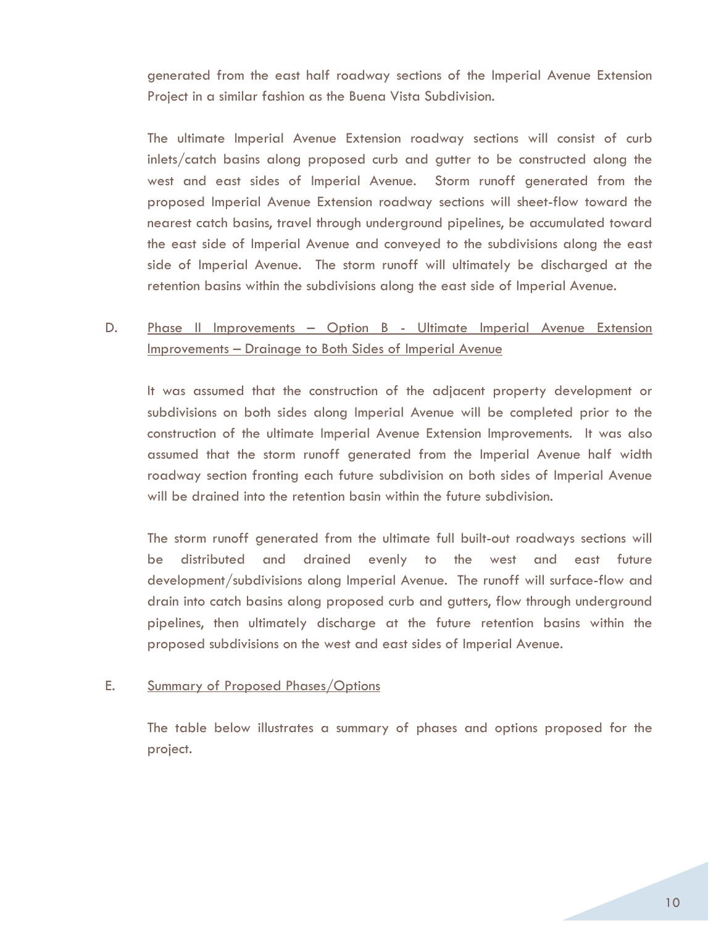generated from the east half roadway sections of the Imperial Avenue Extension Project in a similar fashion as the Buena Vista Subdivision.

The ultimate Imperial Avenue Extension roadway sections will consist of curb inlets/catch basins along proposed curb and gutter to be constructed along the west and east sides of Imperial Avenue. Storm runoff generated from the proposed Imperial Avenue Extension roadway sections will sheet-flow toward the nearest catch basins, travel through underground pipelines, be accumulated toward the east side of Imperial Avenue and conveyed to the subdivisions along the east side of Imperial Avenue. The storm runoff will ultimately be discharged at the retention basins within the subdivisions along the east side of Imperial Avenue.

# D. Phase II Improvements – Option B - Ultimate Imperial Avenue Extension Improvements – Drainage to Both Sides of Imperial Avenue

It was assumed that the construction of the adjacent property development or subdivisions on both sides along Imperial Avenue will be completed prior to the construction of the ultimate Imperial Avenue Extension Improvements. It was also assumed that the storm runoff generated from the Imperial Avenue half width roadway section fronting each future subdivision on both sides of Imperial Avenue will be drained into the retention basin within the future subdivision.

The storm runoff generated from the ultimate full built-out roadways sections will be distributed and drained evenly to the west and east future development/subdivisions along Imperial Avenue. The runoff will surface-flow and drain into catch basins along proposed curb and gutters, flow through underground pipelines, then ultimately discharge at the future retention basins within the proposed subdivisions on the west and east sides of Imperial Avenue.

## E. Summary of Proposed Phases/Options

The table below illustrates a summary of phases and options proposed for the project.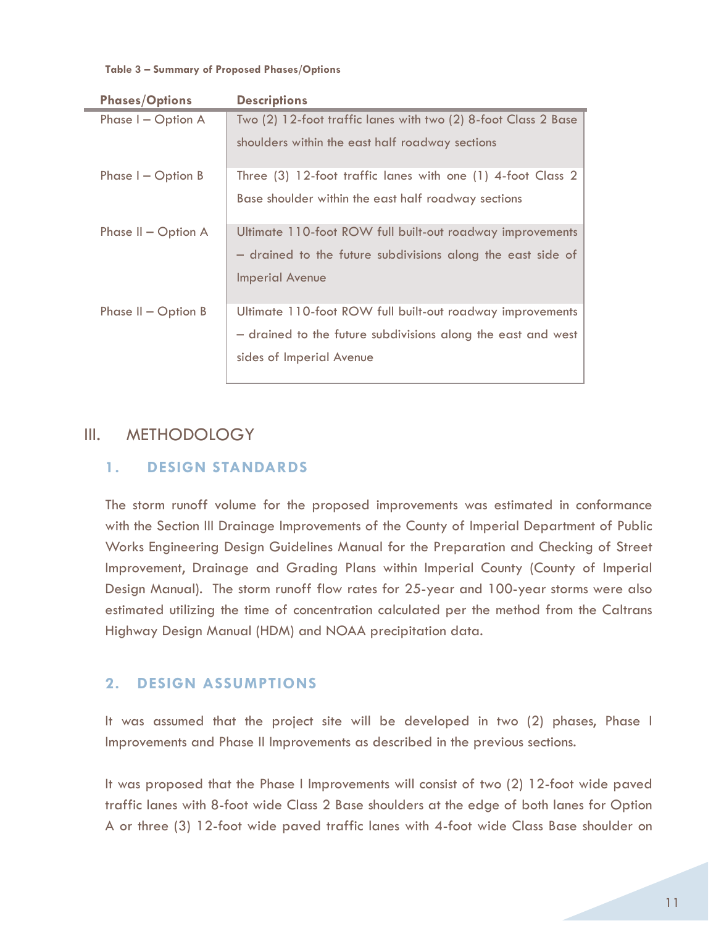#### **Table 3 – Summary of Proposed Phases/Options**

| <b>Phases/Options</b> | <b>Descriptions</b>                                            |
|-----------------------|----------------------------------------------------------------|
| Phase I - Option A    | Two (2) 12-foot traffic lanes with two (2) 8-foot Class 2 Base |
|                       | shoulders within the east half roadway sections                |
| Phase $I -$ Option B  | Three (3) 12-foot traffic lanes with one (1) 4-foot Class 2    |
|                       | Base shoulder within the east half roadway sections            |
| Phase $II$ – Option A | Ultimate 110-foot ROW full built-out roadway improvements      |
|                       | - drained to the future subdivisions along the east side of    |
|                       | <b>Imperial Avenue</b>                                         |
| Phase $II$ – Option B | Ultimate 110-foot ROW full built-out roadway improvements      |
|                       | - drained to the future subdivisions along the east and west   |
|                       | sides of Imperial Avenue                                       |
|                       |                                                                |

# III. METHODOLOGY

# **1. DESIGN STANDARDS**

The storm runoff volume for the proposed improvements was estimated in conformance with the Section III Drainage Improvements of the County of Imperial Department of Public Works Engineering Design Guidelines Manual for the Preparation and Checking of Street Improvement, Drainage and Grading Plans within Imperial County (County of Imperial Design Manual). The storm runoff flow rates for 25-year and 100-year storms were also estimated utilizing the time of concentration calculated per the method from the Caltrans Highway Design Manual (HDM) and NOAA precipitation data.

# **2. DESIGN ASSUMPTIONS**

It was assumed that the project site will be developed in two (2) phases, Phase I Improvements and Phase II Improvements as described in the previous sections.

It was proposed that the Phase I Improvements will consist of two (2) 12-foot wide paved traffic lanes with 8-foot wide Class 2 Base shoulders at the edge of both lanes for Option A or three (3) 12-foot wide paved traffic lanes with 4-foot wide Class Base shoulder on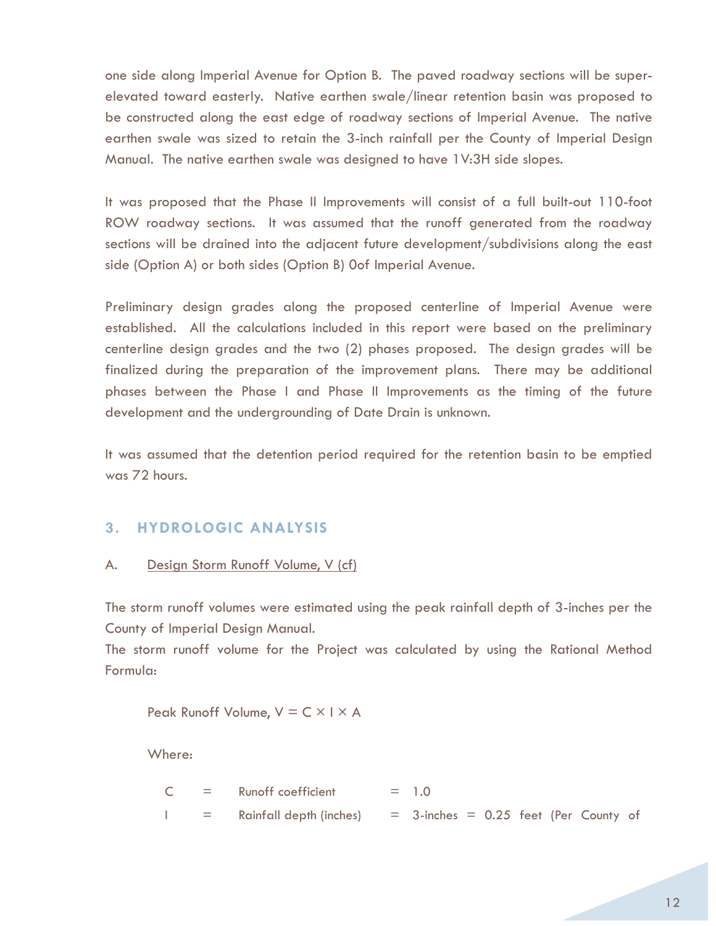one side along Imperial Avenue for Option B. The paved roadway sections will be superelevated toward easterly. Native earthen swale/linear retention basin was proposed to be constructed along the east edge of roadway sections of Imperial Avenue. The native earthen swale was sized to retain the 3-inch rainfall per the County of Imperial Design Manual. The native earthen swale was designed to have 1V:3H side slopes.

It was proposed that the Phase II Improvements will consist of a full built-out 110-foot ROW roadway sections. It was assumed that the runoff generated from the roadway sections will be drained into the adjacent future development/subdivisions along the east side (Option A) or both sides (Option B) 0of Imperial Avenue.

Preliminary design grades along the proposed centerline of Imperial Avenue were established. All the calculations included in this report were based on the preliminary centerline design grades and the two (2) phases proposed. The design grades will be finalized during the preparation of the improvement plans. There may be additional phases between the Phase I and Phase II Improvements as the timing of the future development and the undergrounding of Date Drain is unknown.

It was assumed that the detention period required for the retention basin to be emptied was 72 hours.

# **3. HYDROLOGIC ANALYSIS**

## A. Design Storm Runoff Volume, V (cf)

The storm runoff volumes were estimated using the peak rainfall depth of 3-inches per the County of Imperial Design Manual.

The storm runoff volume for the Project was calculated by using the Rational Method Formula:

Peak Runoff Volume,  $V = C \times I \times A$ 

Where:

|     | $=$ Runoff coefficient  | $= 1.0$                                   |  |
|-----|-------------------------|-------------------------------------------|--|
| $=$ | Rainfall depth (inches) | $=$ 3-inches $=$ 0.25 feet (Per County of |  |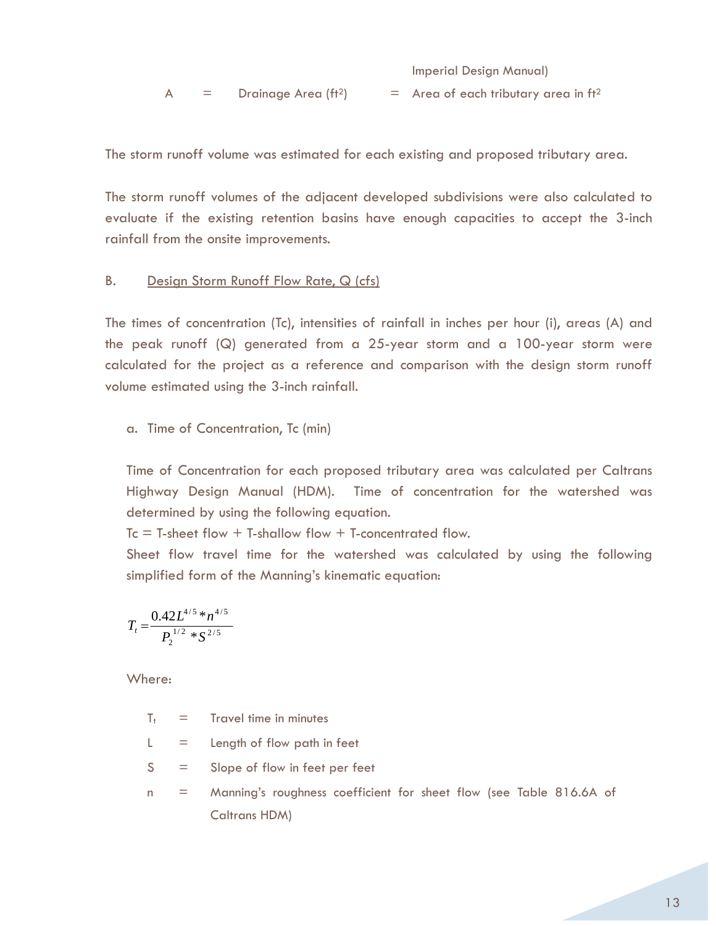Imperial Design Manual)

A  $=$  Drainage Area (ft<sup>2</sup>)  $=$  Area of each tributary area in ft<sup>2</sup>

The storm runoff volume was estimated for each existing and proposed tributary area.

The storm runoff volumes of the adjacent developed subdivisions were also calculated to evaluate if the existing retention basins have enough capacities to accept the 3-inch rainfall from the onsite improvements.

#### B. Design Storm Runoff Flow Rate, Q (cfs)

The times of concentration (Tc), intensities of rainfall in inches per hour (i), areas (A) and the peak runoff (Q) generated from a 25-year storm and a 100-year storm were calculated for the project as a reference and comparison with the design storm runoff volume estimated using the 3-inch rainfall.

a. Time of Concentration, Tc (min)

Time of Concentration for each proposed tributary area was calculated per Caltrans Highway Design Manual (HDM). Time of concentration for the watershed was determined by using the following equation.

 $Tc = T-sheet$  flow + T-shallow flow + T-concentrated flow.

Sheet flow travel time for the watershed was calculated by using the following simplified form of the Manning's kinematic equation:

$$
T_t = \frac{0.42L^{4/5} * n^{4/5}}{P_2^{1/2} * S^{2/5}}
$$

Where:

 $T_t$  = Travel time in minutes

 $L =$  Length of flow path in feet

- $S =$  Slope of flow in feet per feet
- n = Manning's roughness coefficient for sheet flow (see Table 816.6A of Caltrans HDM)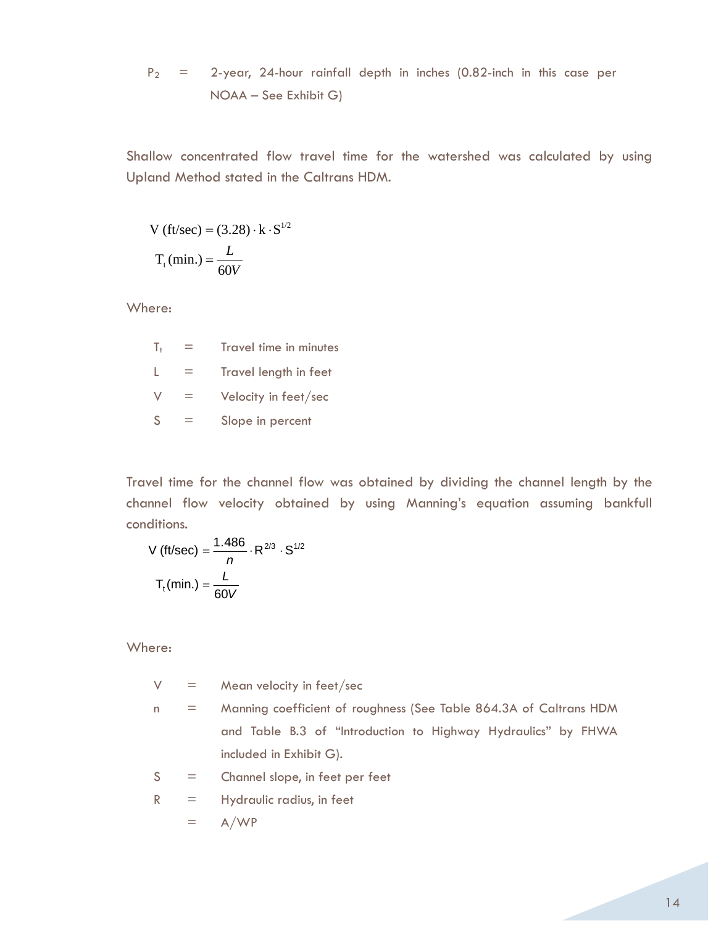$$
P_2
$$
 = 2-year, 24-hour rainfall depth in inches (0.82-inch in this case per NOAA – See Exhibit G)

Shallow concentrated flow travel time for the watershed was calculated by using Upland Method stated in the Caltrans HDM.

$$
V \text{ (ft/sec)} = (3.28) \cdot k \cdot S^{1/2}
$$

$$
T_{t} \text{(min.)} = \frac{L}{60V}
$$

Where:

| T.           | Travel time in minutes |
|--------------|------------------------|
|              | Travel length in feet  |
| $\vee$       | Velocity in feet/sec   |
| <sub>S</sub> | Slope in percent       |

Travel time for the channel flow was obtained by dividing the channel length by the channel flow velocity obtained by using Manning's equation assuming bankfull conditions.

V (ft/sec) = 
$$
\frac{1.486}{n} \cdot R^{2/3} \cdot S^{1/2}
$$

$$
T_t(min.) = \frac{L}{60V}
$$

Where:

 $V =$  Mean velocity in feet/sec

- n = Manning coefficient of roughness (See Table 864.3A of Caltrans HDM and Table B.3 of "Introduction to Highway Hydraulics" by FHWA included in Exhibit G).
- $S =$  Channel slope, in feet per feet

$$
R = \text{Hydraulic radius, in feet}
$$

$$
= \mathsf{A}/\mathsf{WP}
$$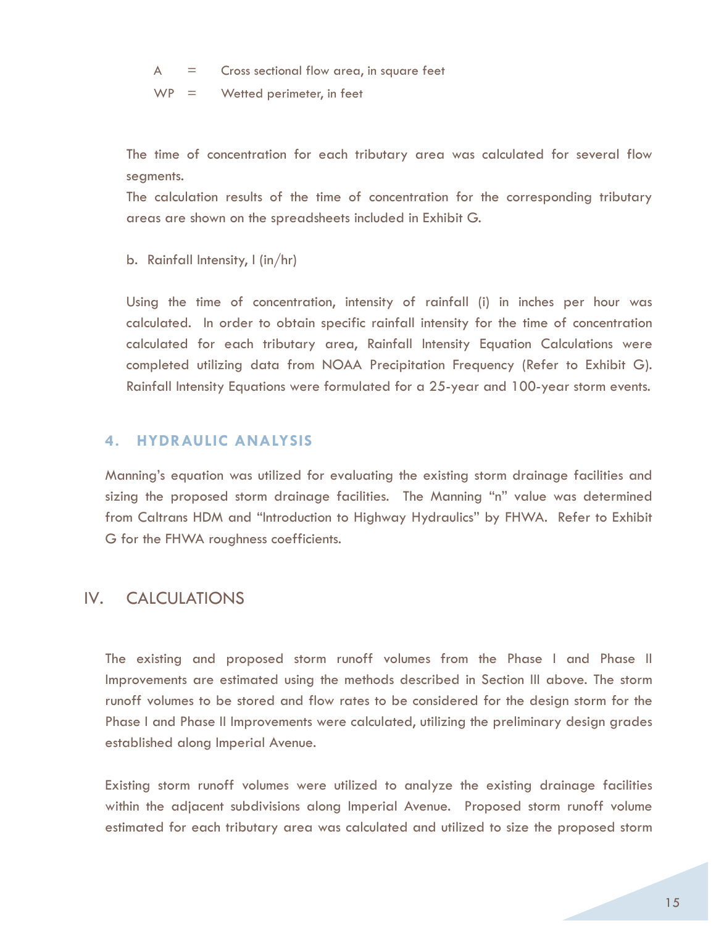$A =$  Cross sectional flow area, in square feet

 $WP =$  Wetted perimeter, in feet

The time of concentration for each tributary area was calculated for several flow segments.

The calculation results of the time of concentration for the corresponding tributary areas are shown on the spreadsheets included in Exhibit G.

b. Rainfall Intensity, I (in/hr)

Using the time of concentration, intensity of rainfall (i) in inches per hour was calculated. In order to obtain specific rainfall intensity for the time of concentration calculated for each tributary area, Rainfall Intensity Equation Calculations were completed utilizing data from NOAA Precipitation Frequency (Refer to Exhibit G). Rainfall Intensity Equations were formulated for a 25-year and 100-year storm events.

# **4. HYDRAULIC ANALYSIS**

Manning's equation was utilized for evaluating the existing storm drainage facilities and sizing the proposed storm drainage facilities. The Manning "n" value was determined from Caltrans HDM and "Introduction to Highway Hydraulics" by FHWA. Refer to Exhibit G for the FHWA roughness coefficients.

# IV. CALCULATIONS

The existing and proposed storm runoff volumes from the Phase I and Phase II Improvements are estimated using the methods described in Section III above. The storm runoff volumes to be stored and flow rates to be considered for the design storm for the Phase I and Phase II Improvements were calculated, utilizing the preliminary design grades established along Imperial Avenue.

Existing storm runoff volumes were utilized to analyze the existing drainage facilities within the adjacent subdivisions along Imperial Avenue. Proposed storm runoff volume estimated for each tributary area was calculated and utilized to size the proposed storm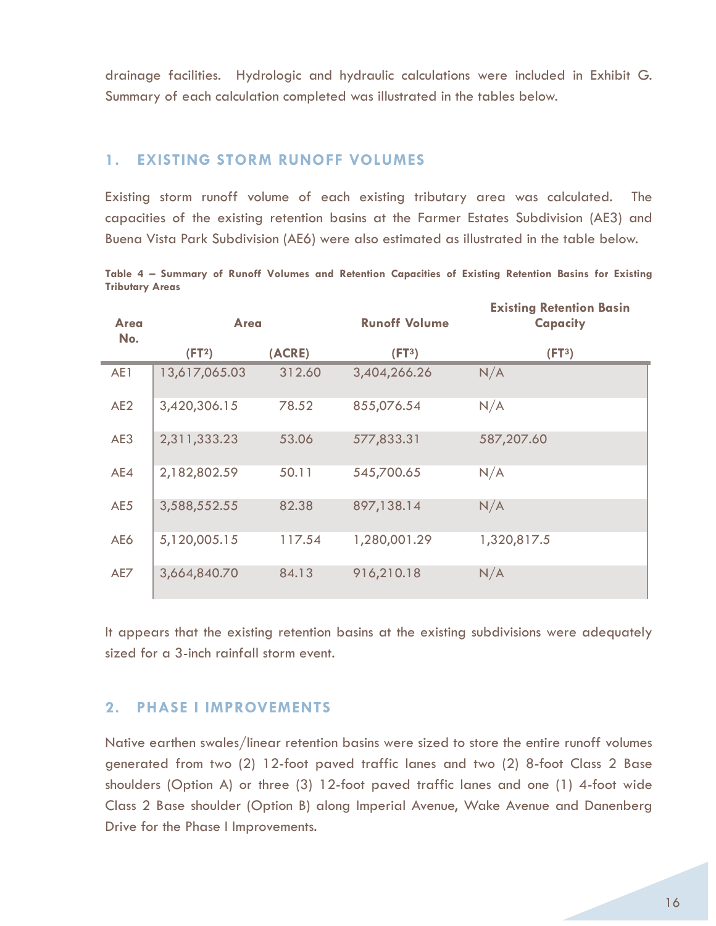drainage facilities. Hydrologic and hydraulic calculations were included in Exhibit G. Summary of each calculation completed was illustrated in the tables below.

## **1. EXISTING STORM RUNOFF VOLUMES**

Existing storm runoff volume of each existing tributary area was calculated. The capacities of the existing retention basins at the Farmer Estates Subdivision (AE3) and Buena Vista Park Subdivision (AE6) were also estimated as illustrated in the table below.

**Table 4 – Summary of Runoff Volumes and Retention Capacities of Existing Retention Basins for Existing Tributary Areas** 

| Area<br>No.     | <b>Area</b>        |        | <b>Runoff Volume</b> | <b>Existing Retention Basin</b><br><b>Capacity</b> |  |
|-----------------|--------------------|--------|----------------------|----------------------------------------------------|--|
|                 | (FT <sup>2</sup> ) | (ACRE) | (FT <sup>3</sup> )   | (FT <sup>3</sup> )                                 |  |
| AE1             | 13,617,065.03      | 312.60 | 3,404,266.26         | N/A                                                |  |
| AE <sub>2</sub> | 3,420,306.15       | 78.52  | 855,076.54           | N/A                                                |  |
| AE3             | 2,311,333.23       | 53.06  | 577,833.31           | 587,207.60                                         |  |
| AE4             | 2,182,802.59       | 50.11  | 545,700.65           | N/A                                                |  |
| AE5             | 3,588,552.55       | 82.38  | 897,138.14           | N/A                                                |  |
| AE6             | 5,120,005.15       | 117.54 | 1,280,001.29         | 1,320,817.5                                        |  |
| AE7             | 3,664,840.70       | 84.13  | 916,210.18           | N/A                                                |  |

It appears that the existing retention basins at the existing subdivisions were adequately sized for a 3-inch rainfall storm event.

# **2. PHASE I IMPROVEMENTS**

Native earthen swales/linear retention basins were sized to store the entire runoff volumes generated from two (2) 12-foot paved traffic lanes and two (2) 8-foot Class 2 Base shoulders (Option A) or three (3) 12-foot paved traffic lanes and one (1) 4-foot wide Class 2 Base shoulder (Option B) along Imperial Avenue, Wake Avenue and Danenberg Drive for the Phase I Improvements.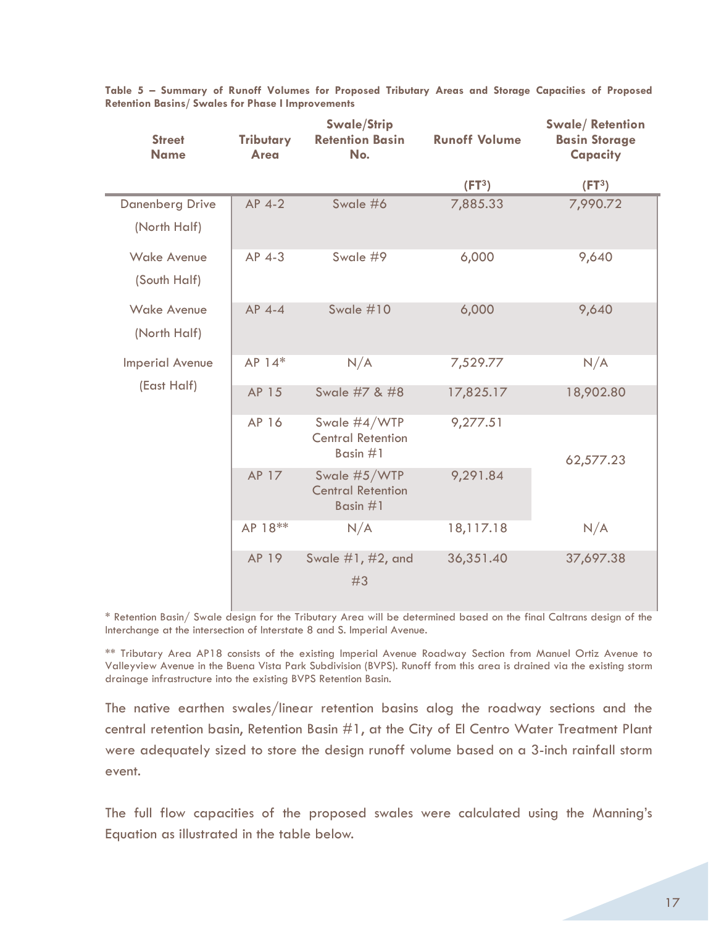| <b>Street</b><br><b>Name</b> | <b>Tributary</b><br>Area | <b>Swale/Strip</b><br><b>Retention Basin</b><br>No.    | <b>Runoff Volume</b> | <b>Swale/Retention</b><br><b>Basin Storage</b><br>Capacity |
|------------------------------|--------------------------|--------------------------------------------------------|----------------------|------------------------------------------------------------|
|                              |                          |                                                        | (FT <sup>3</sup> )   | (FT <sup>3</sup> )                                         |
| <b>Danenberg Drive</b>       | $AP$ 4-2                 | Swale #6                                               | 7,885.33             | 7,990.72                                                   |
| (North Half)                 |                          |                                                        |                      |                                                            |
| <b>Wake Avenue</b>           | AP 4-3                   | Swale #9                                               | 6,000                | 9,640                                                      |
| (South Half)                 |                          |                                                        |                      |                                                            |
| <b>Wake Avenue</b>           | AP 4-4                   | Swale #10                                              | 6,000                | 9,640                                                      |
| (North Half)                 |                          |                                                        |                      |                                                            |
| <b>Imperial Avenue</b>       | AP 14*                   | N/A                                                    | 7,529.77             | N/A                                                        |
| (East Half)                  | AP 15                    | Swale #7 & #8                                          | 17,825.17            | 18,902.80                                                  |
|                              | AP 16                    | Swale #4/WTP<br><b>Central Retention</b><br>Basin $#1$ | 9,277.51             | 62,577.23                                                  |
|                              | AP 17                    | Swale #5/WTP<br><b>Central Retention</b><br>Basin $#1$ | 9,291.84             |                                                            |
|                              | AP 18**                  | N/A                                                    | 18,117.18            | N/A                                                        |
|                              | AP 19                    | Swale #1, #2, and<br>#3                                | 36,351.40            | 37,697.38                                                  |

**Table 5 – Summary of Runoff Volumes for Proposed Tributary Areas and Storage Capacities of Proposed Retention Basins/ Swales for Phase I Improvements** 

\* Retention Basin/ Swale design for the Tributary Area will be determined based on the final Caltrans design of the Interchange at the intersection of Interstate 8 and S. Imperial Avenue.

\*\* Tributary Area AP18 consists of the existing Imperial Avenue Roadway Section from Manuel Ortiz Avenue to Valleyview Avenue in the Buena Vista Park Subdivision (BVPS). Runoff from this area is drained via the existing storm drainage infrastructure into the existing BVPS Retention Basin.

The native earthen swales/linear retention basins alog the roadway sections and the central retention basin, Retention Basin #1, at the City of El Centro Water Treatment Plant were adequately sized to store the design runoff volume based on a 3-inch rainfall storm event.

The full flow capacities of the proposed swales were calculated using the Manning's Equation as illustrated in the table below.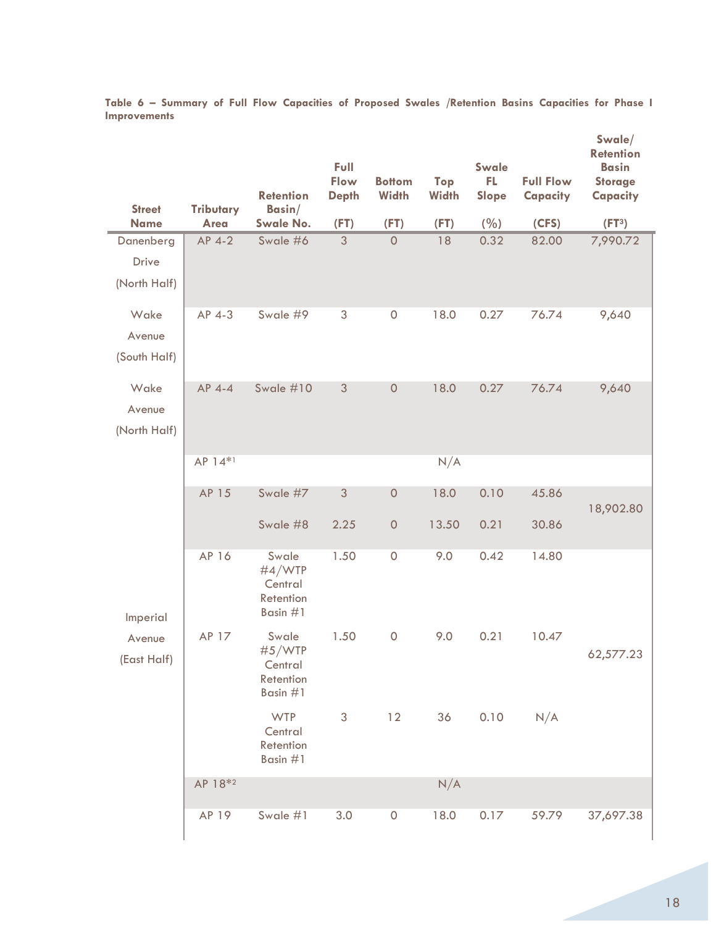| <b>Street</b>                             | <b>Tributary</b>    | <b>Retention</b><br>Basin/                          | Full<br>Flow<br><b>Depth</b> | <b>Bottom</b><br><b>Width</b> | Top<br><b>Width</b> | Swale<br>FL<br>Slope | <b>Full Flow</b><br>Capacity | Swale/<br><b>Retention</b><br><b>Basin</b><br><b>Storage</b><br><b>Capacity</b> |
|-------------------------------------------|---------------------|-----------------------------------------------------|------------------------------|-------------------------------|---------------------|----------------------|------------------------------|---------------------------------------------------------------------------------|
| <b>Name</b>                               | <b>Area</b>         | <b>Swale No.</b>                                    | (FT)                         | (FT)                          | (FT)                | (%)                  | (CFS)                        | (FT <sup>3</sup> )                                                              |
| Danenberg<br><b>Drive</b><br>(North Half) | AP 4-2              | Swale #6                                            | 3                            | $\mathbf 0$                   | 18                  | 0.32                 | 82.00                        | 7,990.72                                                                        |
| Wake<br>Avenue<br>(South Half)            | AP 4-3              | Swale #9                                            | 3                            | $\mathsf{O}\xspace$           | 18.0                | 0.27                 | 76.74                        | 9,640                                                                           |
| Wake<br>Avenue<br>(North Half)            | AP 4-4              | Swale #10                                           | 3                            | $\mathsf{O}\xspace$           | 18.0                | 0.27                 | 76.74                        | 9,640                                                                           |
|                                           | AP 14*1             |                                                     |                              |                               | N/A                 |                      |                              |                                                                                 |
|                                           | AP 15               | Swale #7                                            | 3                            | $\mathsf{O}\xspace$           | 18.0                | 0.10                 | 45.86                        | 18,902.80                                                                       |
|                                           |                     | Swale #8                                            | 2.25                         | $\mathsf{O}\xspace$           | 13.50               | 0.21                 | 30.86                        |                                                                                 |
| Imperial                                  | AP 16               | Swale<br>#4/WTP<br>Central<br>Retention<br>Basin #1 | 1.50                         | $\mathsf{O}\xspace$           | 9.0                 | 0.42                 | 14.80                        |                                                                                 |
| Avenue<br>(East Half)                     | AP 17               | Swale<br>#5/WTP<br>Central<br>Retention<br>Basin #1 | 1.50                         | $\mathsf{O}\xspace$           | 9.0                 | 0.21                 | 10.47                        | 62,577.23                                                                       |
|                                           |                     | <b>WTP</b><br>Central<br>Retention<br>Basin #1      | 3                            | 12                            | 36                  | 0.10                 | N/A                          |                                                                                 |
|                                           | AP 18 <sup>*2</sup> |                                                     |                              |                               | N/A                 |                      |                              |                                                                                 |
|                                           | AP 19               | Swale #1                                            | 3.0                          | $\mathsf{O}\xspace$           | 18.0                | 0.17                 | 59.79                        | 37,697.38                                                                       |

**Table 6 – Summary of Full Flow Capacities of Proposed Swales /Retention Basins Capacities for Phase I Improvements**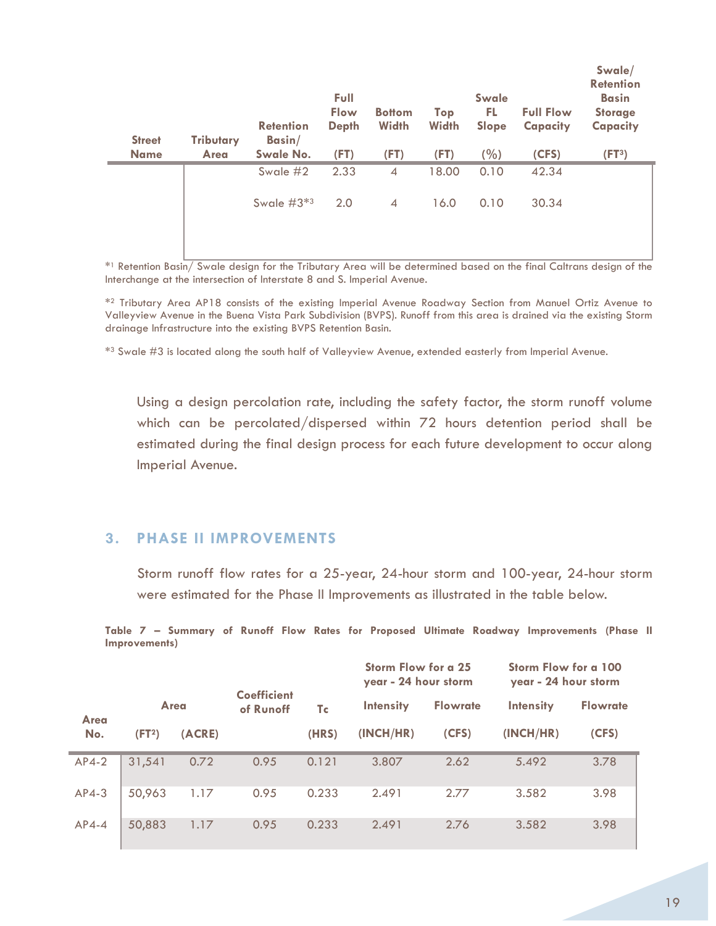| <b>Street</b><br><b>Name</b> | <b>Tributary</b><br><b>Area</b> | <b>Retention</b><br>Basin/<br><b>Swale No.</b> | Full<br><b>Flow</b><br><b>Depth</b><br>(FT) | <b>Bottom</b><br><b>Width</b><br>(FT) | Top<br><b>Width</b><br>(FT) | Swale<br>FL.<br>Slope<br>(%) | <b>Full Flow</b><br>Capacity<br>(CFS) | Swale/<br><b>Retention</b><br><b>Basin</b><br><b>Storage</b><br>Capacity<br>(FT <sup>3</sup> ) |
|------------------------------|---------------------------------|------------------------------------------------|---------------------------------------------|---------------------------------------|-----------------------------|------------------------------|---------------------------------------|------------------------------------------------------------------------------------------------|
|                              |                                 | Swale #2                                       | 2.33                                        | $\overline{4}$                        | 18.00                       | 0.10                         | 42.34                                 |                                                                                                |
|                              |                                 | Swale $#3*3$                                   | 2.0                                         | $\overline{4}$                        | 16.0                        | 0.10                         | 30.34                                 |                                                                                                |

\*1 Retention Basin/ Swale design for the Tributary Area will be determined based on the final Caltrans design of the Interchange at the intersection of Interstate 8 and S. Imperial Avenue.

\*2 Tributary Area AP18 consists of the existing Imperial Avenue Roadway Section from Manuel Ortiz Avenue to Valleyview Avenue in the Buena Vista Park Subdivision (BVPS). Runoff from this area is drained via the existing Storm drainage Infrastructure into the existing BVPS Retention Basin.

\*3 Swale #3 is located along the south half of Valleyview Avenue, extended easterly from Imperial Avenue.

Using a design percolation rate, including the safety factor, the storm runoff volume which can be percolated/dispersed within 72 hours detention period shall be estimated during the final design process for each future development to occur along Imperial Avenue.

# **3. PHASE II IMPROVEMENTS**

Storm runoff flow rates for a 25-year, 24-hour storm and 100-year, 24-hour storm were estimated for the Phase II Improvements as illustrated in the table below.

**Table 7 – Summary of Runoff Flow Rates for Proposed Ultimate Roadway Improvements (Phase II Improvements)** 

|         |                    |        |                                 |       | Storm Flow for a 25<br>year - 24 hour storm |                 | Storm Flow for a 100<br>year - 24 hour storm |                 |
|---------|--------------------|--------|---------------------------------|-------|---------------------------------------------|-----------------|----------------------------------------------|-----------------|
| Area    |                    | Area   | <b>Coefficient</b><br>of Runoff | Tc    | <b>Intensity</b>                            | <b>Flowrate</b> | <b>Intensity</b>                             | <b>Flowrate</b> |
| No.     | (FT <sup>2</sup> ) | (ACRE) |                                 | (HRS) | (INCH/HR)                                   | (CFS)           | (INCH/HR)                                    | (CFS)           |
| $AP4-2$ | 31,541             | 0.72   | 0.95                            | 0.121 | 3.807                                       | 2.62            | 5.492                                        | 3.78            |
| $AP4-3$ | 50,963             | 1.17   | 0.95                            | 0.233 | 2.491                                       | 2.77            | 3.582                                        | 3.98            |
| $AP4-4$ | 50,883             | 1.17   | 0.95                            | 0.233 | 2.491                                       | 2.76            | 3.582                                        | 3.98            |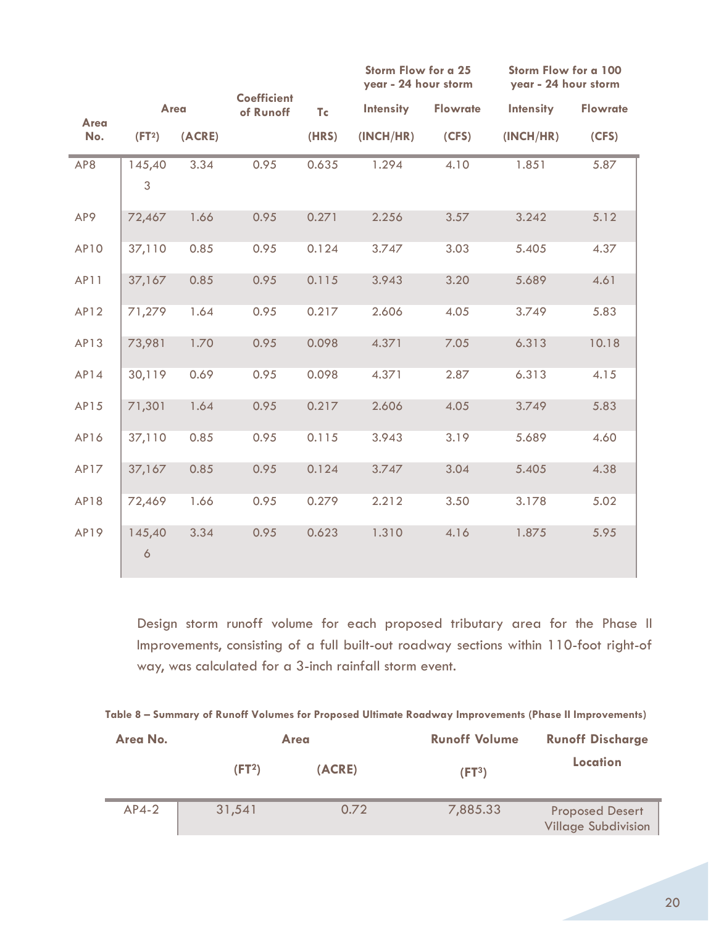|      |                          |        |                                 |       | Storm Flow for a 25<br>year - 24 hour storm |                 | Storm Flow for a 100<br>year - 24 hour storm |                 |
|------|--------------------------|--------|---------------------------------|-------|---------------------------------------------|-----------------|----------------------------------------------|-----------------|
| Area | Area                     |        | <b>Coefficient</b><br>of Runoff | Tc    | <b>Intensity</b>                            | <b>Flowrate</b> | <b>Intensity</b>                             | <b>Flowrate</b> |
| No.  | (FT <sup>2</sup> )       | (ACRE) |                                 | (HRS) | (INCH/HR)                                   | (CFS)           | (INCH/HR)                                    | (CFS)           |
| AP8  | 145,40<br>$\mathfrak{S}$ | 3.34   | 0.95                            | 0.635 | 1.294                                       | 4.10            | 1.851                                        | 5.87            |
|      |                          |        |                                 |       |                                             |                 |                                              |                 |
| AP9  | 72,467                   | 1.66   | 0.95                            | 0.271 | 2.256                                       | 3.57            | 3.242                                        | 5.12            |
| AP10 | 37,110                   | 0.85   | 0.95                            | 0.124 | 3.747                                       | 3.03            | 5.405                                        | 4.37            |
| AP11 | 37,167                   | 0.85   | 0.95                            | 0.115 | 3.943                                       | 3.20            | 5.689                                        | 4.61            |
| AP12 | 71,279                   | 1.64   | 0.95                            | 0.217 | 2.606                                       | 4.05            | 3.749                                        | 5.83            |
| AP13 | 73,981                   | 1.70   | 0.95                            | 0.098 | 4.371                                       | 7.05            | 6.313                                        | 10.18           |
| AP14 | 30,119                   | 0.69   | 0.95                            | 0.098 | 4.371                                       | 2.87            | 6.313                                        | 4.15            |
| AP15 | 71,301                   | 1.64   | 0.95                            | 0.217 | 2.606                                       | 4.05            | 3.749                                        | 5.83            |
| AP16 | 37,110                   | 0.85   | 0.95                            | 0.115 | 3.943                                       | 3.19            | 5.689                                        | 4.60            |
| AP17 | 37,167                   | 0.85   | 0.95                            | 0.124 | 3.747                                       | 3.04            | 5.405                                        | 4.38            |
| AP18 | 72,469                   | 1.66   | 0.95                            | 0.279 | 2.212                                       | 3.50            | 3.178                                        | 5.02            |
| AP19 | 145,40<br>$\ddot{\circ}$ | 3.34   | 0.95                            | 0.623 | 1.310                                       | 4.16            | 1.875                                        | 5.95            |

Design storm runoff volume for each proposed tributary area for the Phase II Improvements, consisting of a full built-out roadway sections within 110-foot right-of way, was calculated for a 3-inch rainfall storm event.

|  |  |  |  |  |  | Table 8 – Summary of Runoff Volumes for Proposed Ultimate Roadway Improvements (Phase II Improvements) |
|--|--|--|--|--|--|--------------------------------------------------------------------------------------------------------|
|--|--|--|--|--|--|--------------------------------------------------------------------------------------------------------|

| Area No. |                    | <b>Area</b> | <b>Runoff Volume</b> | <b>Runoff Discharge</b>                              |
|----------|--------------------|-------------|----------------------|------------------------------------------------------|
|          | (FT <sup>2</sup> ) | (ACRE)      | (FT <sup>3</sup> )   | Location                                             |
| $AP4-2$  | 31,541             | 0.72        | 7,885.33             | <b>Proposed Desert</b><br><b>Village Subdivision</b> |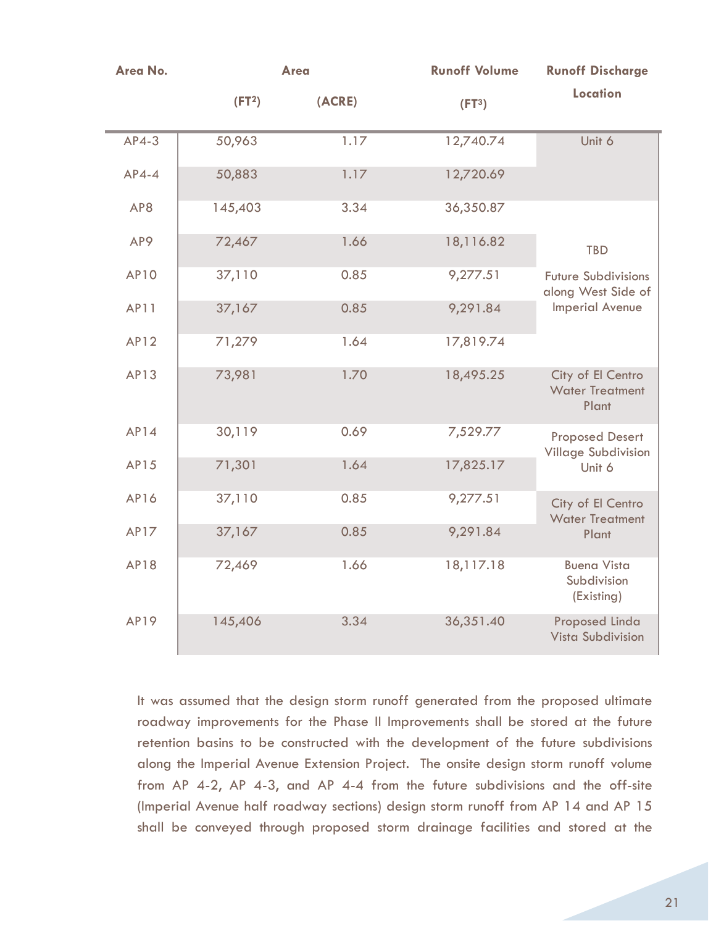| Area No.    | <b>Area</b>        |        | <b>Runoff Volume</b> | <b>Runoff Discharge</b>                              |
|-------------|--------------------|--------|----------------------|------------------------------------------------------|
|             | (FT <sup>2</sup> ) | (ACRE) | (FT <sup>3</sup> )   | <b>Location</b>                                      |
| $AP4-3$     | 50,963             | 1.17   | 12,740.74            | Unit 6                                               |
| $AP4-4$     | 50,883             | 1.17   | 12,720.69            |                                                      |
| AP8         | 145,403            | 3.34   | 36,350.87            |                                                      |
| AP9         | 72,467             | 1.66   | 18,116.82            | <b>TBD</b>                                           |
| <b>AP10</b> | 37,110             | 0.85   | 9,277.51             | <b>Future Subdivisions</b><br>along West Side of     |
| AP11        | 37,167             | 0.85   | 9,291.84             | <b>Imperial Avenue</b>                               |
| <b>AP12</b> | 71,279             | 1.64   | 17,819.74            |                                                      |
| AP13        | 73,981             | 1.70   | 18,495.25            | City of El Centro<br><b>Water Treatment</b><br>Plant |
| AP14        | 30,119             | 0.69   | 7,529.77             | <b>Proposed Desert</b><br><b>Village Subdivision</b> |
| AP15        | 71,301             | 1.64   | 17,825.17            | Unit 6                                               |
| <b>AP16</b> | 37,110             | 0.85   | 9,277.51             | City of El Centro<br><b>Water Treatment</b>          |
| <b>AP17</b> | 37,167             | 0.85   | 9,291.84             | Plant                                                |
| <b>AP18</b> | 72,469             | 1.66   | 18,117.18            | <b>Buena Vista</b><br>Subdivision<br>(Existing)      |
| <b>AP19</b> | 145,406            | 3.34   | 36,351.40            | <b>Proposed Linda</b><br><b>Vista Subdivision</b>    |

It was assumed that the design storm runoff generated from the proposed ultimate roadway improvements for the Phase II Improvements shall be stored at the future retention basins to be constructed with the development of the future subdivisions along the Imperial Avenue Extension Project. The onsite design storm runoff volume from AP 4-2, AP 4-3, and AP 4-4 from the future subdivisions and the off-site (Imperial Avenue half roadway sections) design storm runoff from AP 14 and AP 15 shall be conveyed through proposed storm drainage facilities and stored at the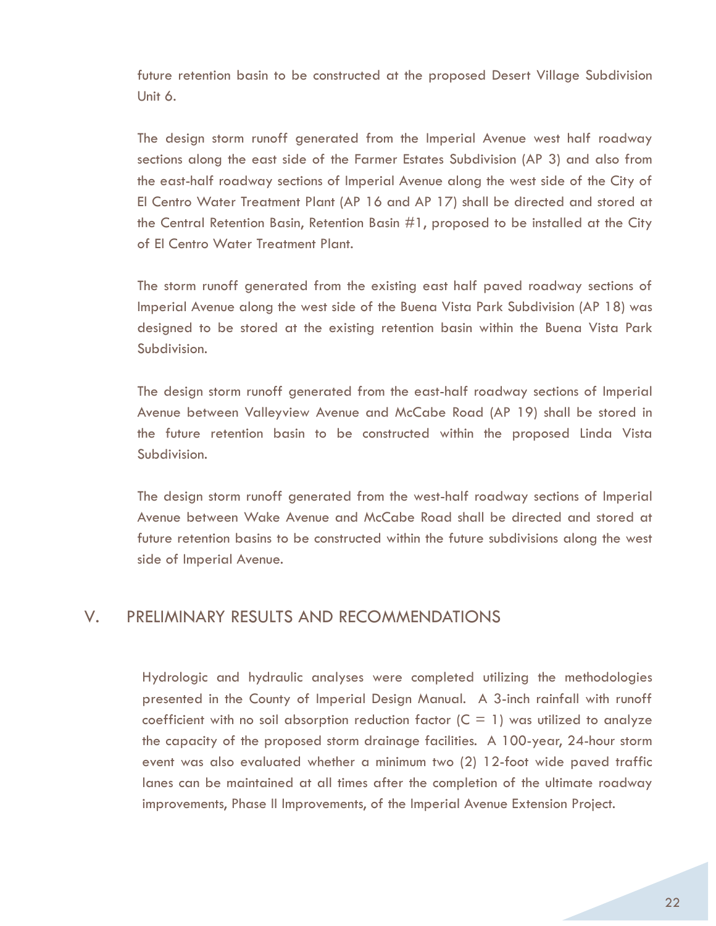future retention basin to be constructed at the proposed Desert Village Subdivision Unit 6.

The design storm runoff generated from the Imperial Avenue west half roadway sections along the east side of the Farmer Estates Subdivision (AP 3) and also from the east-half roadway sections of Imperial Avenue along the west side of the City of El Centro Water Treatment Plant (AP 16 and AP 17) shall be directed and stored at the Central Retention Basin, Retention Basin #1, proposed to be installed at the City of El Centro Water Treatment Plant.

The storm runoff generated from the existing east half paved roadway sections of Imperial Avenue along the west side of the Buena Vista Park Subdivision (AP 18) was designed to be stored at the existing retention basin within the Buena Vista Park Subdivision.

The design storm runoff generated from the east-half roadway sections of Imperial Avenue between Valleyview Avenue and McCabe Road (AP 19) shall be stored in the future retention basin to be constructed within the proposed Linda Vista Subdivision.

The design storm runoff generated from the west-half roadway sections of Imperial Avenue between Wake Avenue and McCabe Road shall be directed and stored at future retention basins to be constructed within the future subdivisions along the west side of Imperial Avenue.

# V. PRELIMINARY RESULTS AND RECOMMENDATIONS

Hydrologic and hydraulic analyses were completed utilizing the methodologies presented in the County of Imperial Design Manual. A 3-inch rainfall with runoff coefficient with no soil absorption reduction factor  $(C = 1)$  was utilized to analyze the capacity of the proposed storm drainage facilities. A 100-year, 24-hour storm event was also evaluated whether a minimum two (2) 12-foot wide paved traffic lanes can be maintained at all times after the completion of the ultimate roadway improvements, Phase II Improvements, of the Imperial Avenue Extension Project.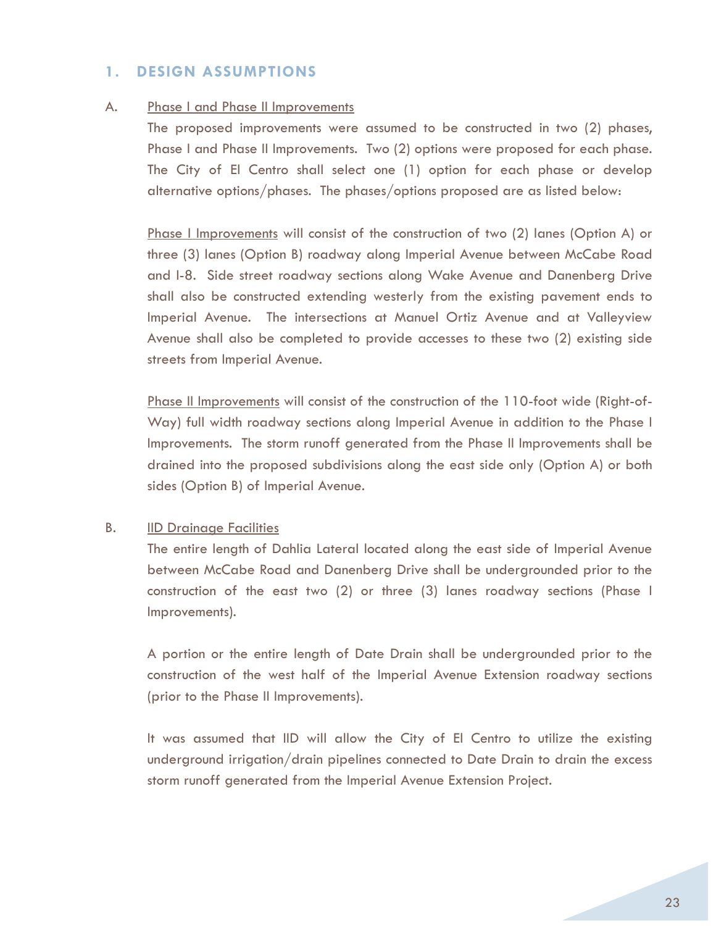# **1. DESIGN ASSUMPTIONS**

#### A. Phase I and Phase II Improvements

The proposed improvements were assumed to be constructed in two (2) phases, Phase I and Phase II Improvements. Two (2) options were proposed for each phase. The City of El Centro shall select one (1) option for each phase or develop alternative options/phases. The phases/options proposed are as listed below:

Phase I Improvements will consist of the construction of two (2) lanes (Option A) or three (3) lanes (Option B) roadway along Imperial Avenue between McCabe Road and I-8. Side street roadway sections along Wake Avenue and Danenberg Drive shall also be constructed extending westerly from the existing pavement ends to Imperial Avenue. The intersections at Manuel Ortiz Avenue and at Valleyview Avenue shall also be completed to provide accesses to these two (2) existing side streets from Imperial Avenue.

Phase II Improvements will consist of the construction of the 110-foot wide (Right-of-Way) full width roadway sections along Imperial Avenue in addition to the Phase I Improvements. The storm runoff generated from the Phase II Improvements shall be drained into the proposed subdivisions along the east side only (Option A) or both sides (Option B) of Imperial Avenue.

#### B. IID Drainage Facilities

The entire length of Dahlia Lateral located along the east side of Imperial Avenue between McCabe Road and Danenberg Drive shall be undergrounded prior to the construction of the east two (2) or three (3) lanes roadway sections (Phase I Improvements).

A portion or the entire length of Date Drain shall be undergrounded prior to the construction of the west half of the Imperial Avenue Extension roadway sections (prior to the Phase II Improvements).

It was assumed that IID will allow the City of El Centro to utilize the existing underground irrigation/drain pipelines connected to Date Drain to drain the excess storm runoff generated from the Imperial Avenue Extension Project.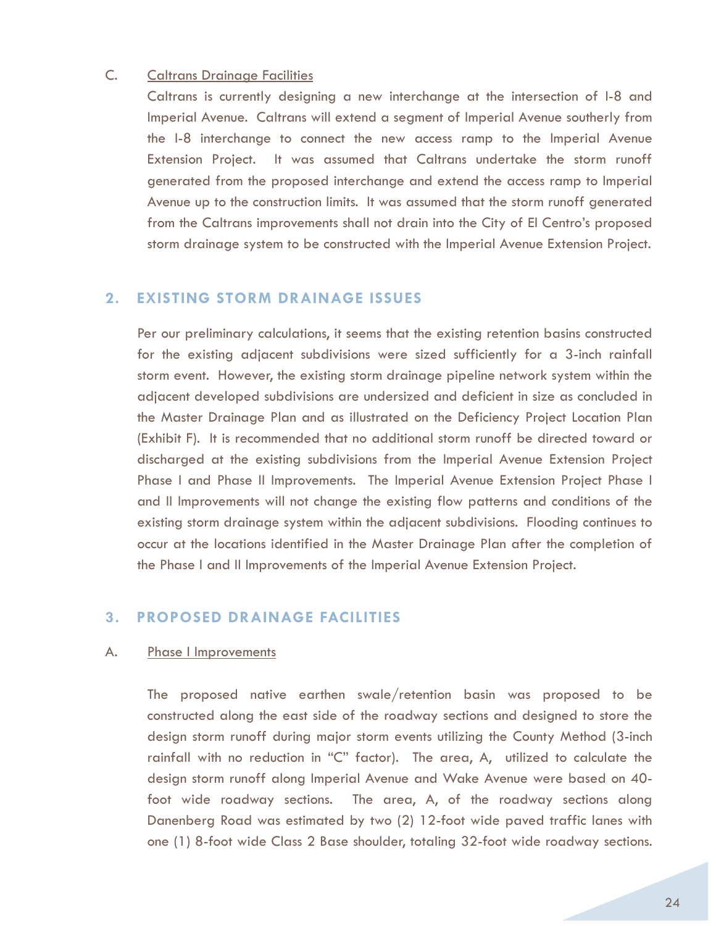#### C. Caltrans Drainage Facilities

Caltrans is currently designing a new interchange at the intersection of I-8 and Imperial Avenue. Caltrans will extend a segment of Imperial Avenue southerly from the I-8 interchange to connect the new access ramp to the Imperial Avenue Extension Project. It was assumed that Caltrans undertake the storm runoff generated from the proposed interchange and extend the access ramp to Imperial Avenue up to the construction limits. It was assumed that the storm runoff generated from the Caltrans improvements shall not drain into the City of El Centro's proposed storm drainage system to be constructed with the Imperial Avenue Extension Project.

# **2. EXISTING STORM DRAINAGE ISSUES**

Per our preliminary calculations, it seems that the existing retention basins constructed for the existing adjacent subdivisions were sized sufficiently for a 3-inch rainfall storm event. However, the existing storm drainage pipeline network system within the adjacent developed subdivisions are undersized and deficient in size as concluded in the Master Drainage Plan and as illustrated on the Deficiency Project Location Plan (Exhibit F). It is recommended that no additional storm runoff be directed toward or discharged at the existing subdivisions from the Imperial Avenue Extension Project Phase I and Phase II Improvements. The Imperial Avenue Extension Project Phase I and II Improvements will not change the existing flow patterns and conditions of the existing storm drainage system within the adjacent subdivisions. Flooding continues to occur at the locations identified in the Master Drainage Plan after the completion of the Phase I and II Improvements of the Imperial Avenue Extension Project.

# **3. PROPOSED DRAINAGE FACILITIES**

#### A. Phase I Improvements

The proposed native earthen swale/retention basin was proposed to be constructed along the east side of the roadway sections and designed to store the design storm runoff during major storm events utilizing the County Method (3-inch rainfall with no reduction in "C" factor). The area, A, utilized to calculate the design storm runoff along Imperial Avenue and Wake Avenue were based on 40 foot wide roadway sections. The area, A, of the roadway sections along Danenberg Road was estimated by two (2) 12-foot wide paved traffic lanes with one (1) 8-foot wide Class 2 Base shoulder, totaling 32-foot wide roadway sections.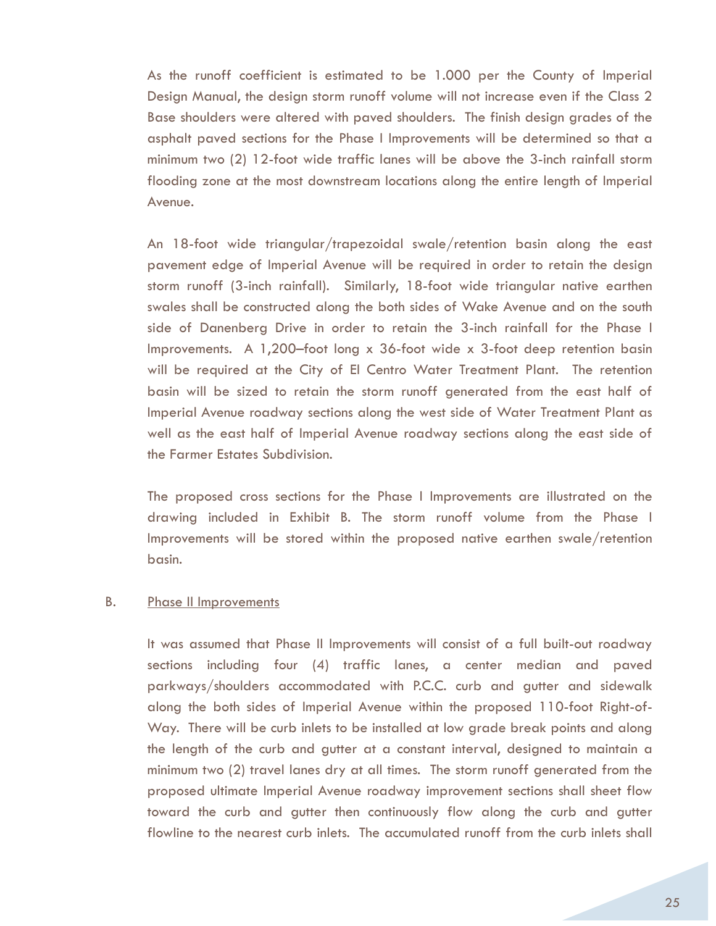As the runoff coefficient is estimated to be 1.000 per the County of Imperial Design Manual, the design storm runoff volume will not increase even if the Class 2 Base shoulders were altered with paved shoulders. The finish design grades of the asphalt paved sections for the Phase I Improvements will be determined so that a minimum two (2) 12-foot wide traffic lanes will be above the 3-inch rainfall storm flooding zone at the most downstream locations along the entire length of Imperial Avenue.

An 18-foot wide triangular/trapezoidal swale/retention basin along the east pavement edge of Imperial Avenue will be required in order to retain the design storm runoff (3-inch rainfall). Similarly, 18-foot wide triangular native earthen swales shall be constructed along the both sides of Wake Avenue and on the south side of Danenberg Drive in order to retain the 3-inch rainfall for the Phase I Improvements. A 1,200–foot long x 36-foot wide x 3-foot deep retention basin will be required at the City of El Centro Water Treatment Plant. The retention basin will be sized to retain the storm runoff generated from the east half of Imperial Avenue roadway sections along the west side of Water Treatment Plant as well as the east half of Imperial Avenue roadway sections along the east side of the Farmer Estates Subdivision.

The proposed cross sections for the Phase I Improvements are illustrated on the drawing included in Exhibit B. The storm runoff volume from the Phase I Improvements will be stored within the proposed native earthen swale/retention basin.

#### B. Phase II Improvements

It was assumed that Phase II Improvements will consist of a full built-out roadway sections including four (4) traffic lanes, a center median and paved parkways/shoulders accommodated with P.C.C. curb and gutter and sidewalk along the both sides of Imperial Avenue within the proposed 110-foot Right-of-Way. There will be curb inlets to be installed at low grade break points and along the length of the curb and gutter at a constant interval, designed to maintain a minimum two (2) travel lanes dry at all times. The storm runoff generated from the proposed ultimate Imperial Avenue roadway improvement sections shall sheet flow toward the curb and gutter then continuously flow along the curb and gutter flowline to the nearest curb inlets. The accumulated runoff from the curb inlets shall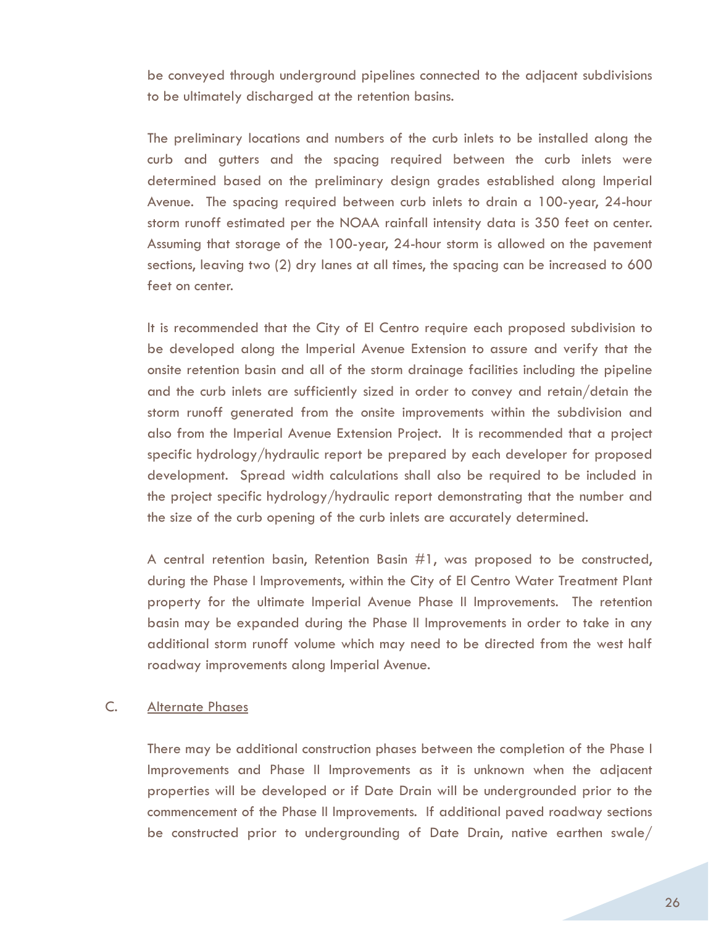be conveyed through underground pipelines connected to the adjacent subdivisions to be ultimately discharged at the retention basins.

The preliminary locations and numbers of the curb inlets to be installed along the curb and gutters and the spacing required between the curb inlets were determined based on the preliminary design grades established along Imperial Avenue. The spacing required between curb inlets to drain a 100-year, 24-hour storm runoff estimated per the NOAA rainfall intensity data is 350 feet on center. Assuming that storage of the 100-year, 24-hour storm is allowed on the pavement sections, leaving two (2) dry lanes at all times, the spacing can be increased to 600 feet on center.

It is recommended that the City of El Centro require each proposed subdivision to be developed along the Imperial Avenue Extension to assure and verify that the onsite retention basin and all of the storm drainage facilities including the pipeline and the curb inlets are sufficiently sized in order to convey and retain/detain the storm runoff generated from the onsite improvements within the subdivision and also from the Imperial Avenue Extension Project. It is recommended that a project specific hydrology/hydraulic report be prepared by each developer for proposed development. Spread width calculations shall also be required to be included in the project specific hydrology/hydraulic report demonstrating that the number and the size of the curb opening of the curb inlets are accurately determined.

A central retention basin, Retention Basin #1, was proposed to be constructed, during the Phase I Improvements, within the City of El Centro Water Treatment Plant property for the ultimate Imperial Avenue Phase II Improvements. The retention basin may be expanded during the Phase II Improvements in order to take in any additional storm runoff volume which may need to be directed from the west half roadway improvements along Imperial Avenue.

#### C. Alternate Phases

There may be additional construction phases between the completion of the Phase I Improvements and Phase II Improvements as it is unknown when the adjacent properties will be developed or if Date Drain will be undergrounded prior to the commencement of the Phase II Improvements. If additional paved roadway sections be constructed prior to undergrounding of Date Drain, native earthen swale/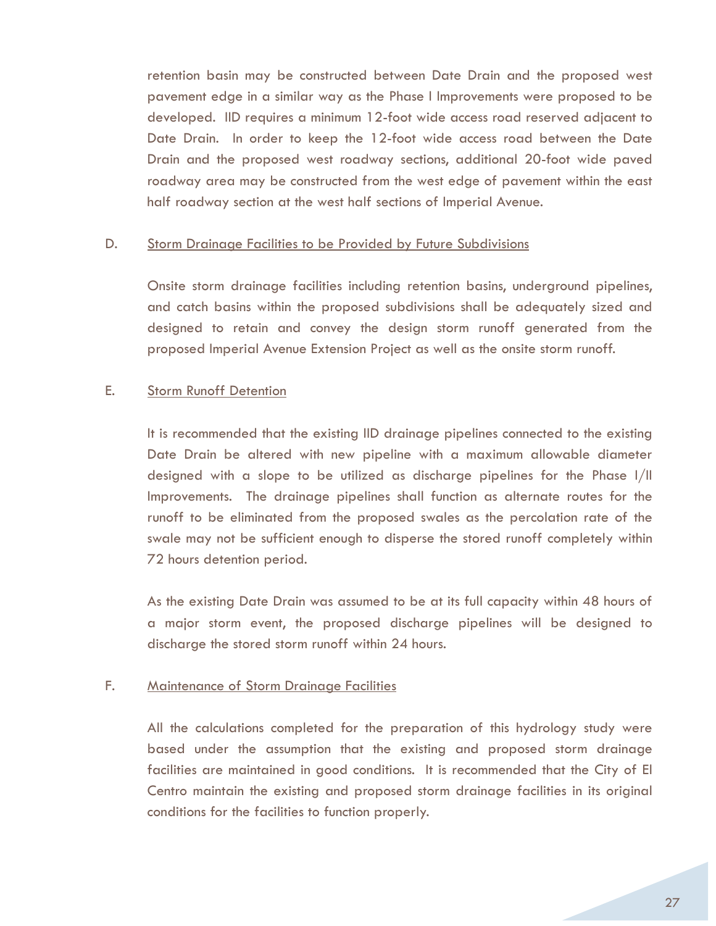retention basin may be constructed between Date Drain and the proposed west pavement edge in a similar way as the Phase I Improvements were proposed to be developed. IID requires a minimum 12-foot wide access road reserved adjacent to Date Drain. In order to keep the 12-foot wide access road between the Date Drain and the proposed west roadway sections, additional 20-foot wide paved roadway area may be constructed from the west edge of pavement within the east half roadway section at the west half sections of Imperial Avenue.

#### D. Storm Drainage Facilities to be Provided by Future Subdivisions

Onsite storm drainage facilities including retention basins, underground pipelines, and catch basins within the proposed subdivisions shall be adequately sized and designed to retain and convey the design storm runoff generated from the proposed Imperial Avenue Extension Project as well as the onsite storm runoff.

#### E. Storm Runoff Detention

It is recommended that the existing IID drainage pipelines connected to the existing Date Drain be altered with new pipeline with a maximum allowable diameter designed with a slope to be utilized as discharge pipelines for the Phase I/II Improvements. The drainage pipelines shall function as alternate routes for the runoff to be eliminated from the proposed swales as the percolation rate of the swale may not be sufficient enough to disperse the stored runoff completely within 72 hours detention period.

As the existing Date Drain was assumed to be at its full capacity within 48 hours of a major storm event, the proposed discharge pipelines will be designed to discharge the stored storm runoff within 24 hours.

## F. Maintenance of Storm Drainage Facilities

All the calculations completed for the preparation of this hydrology study were based under the assumption that the existing and proposed storm drainage facilities are maintained in good conditions. It is recommended that the City of El Centro maintain the existing and proposed storm drainage facilities in its original conditions for the facilities to function properly.